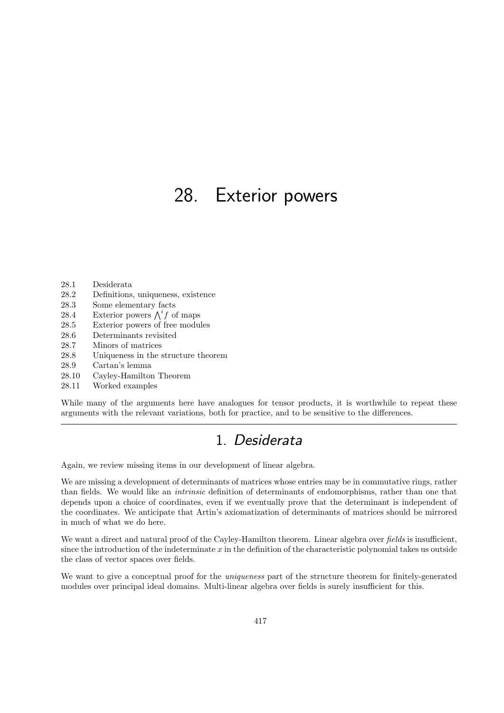# 28. Exterior powers

- 28.1 Desiderata
- 28.2 Definitions, uniqueness, existence
- 28.3 Some elementary facts
- 28.4 Exterior powers  $\bigwedge^i f$  of maps
- 28.5 Exterior powers of free modules
- 28.6 Determinants revisited
- 28.7 Minors of matrices
- 28.8 Uniqueness in the structure theorem
- 28.9 Cartan's lemma
- 28.10 Cayley-Hamilton Theorem
- 28.11 Worked examples

While many of the arguments here have analogues for tensor products, it is worthwhile to repeat these arguments with the relevant variations, both for practice, and to be sensitive to the differences.

## 1. Desiderata

Again, we review missing items in our development of linear algebra.

We are missing a development of determinants of matrices whose entries may be in commutative rings, rather than fields. We would like an intrinsic definition of determinants of endomorphisms, rather than one that depends upon a choice of coordinates, even if we eventually prove that the determinant is independent of the coordinates. We anticipate that Artin's axiomatization of determinants of matrices should be mirrored in much of what we do here.

We want a direct and natural proof of the Cayley-Hamilton theorem. Linear algebra over fields is insufficient, since the introduction of the indeterminate  $x$  in the definition of the characteristic polynomial takes us outside the class of vector spaces over fields.

We want to give a conceptual proof for the *uniqueness* part of the structure theorem for finitely-generated modules over principal ideal domains. Multi-linear algebra over fields is surely insufficient for this.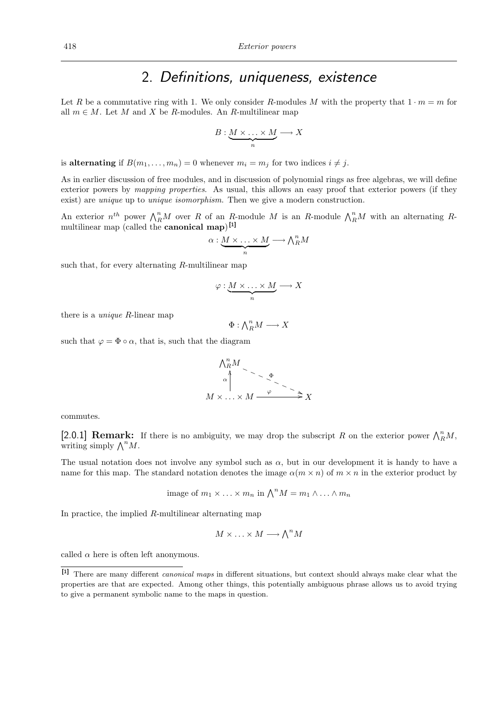#### 2. Definitions, uniqueness, existence

Let R be a commutative ring with 1. We only consider R-modules M with the property that  $1 \cdot m = m$  for all  $m \in M$ . Let M and X be R-modules. An R-multilinear map

$$
B:\underbrace{M\times\ldots\times M}_{n}\longrightarrow X
$$

is alternating if  $B(m_1, \ldots, m_n) = 0$  whenever  $m_i = m_j$  for two indices  $i \neq j$ .

As in earlier discussion of free modules, and in discussion of polynomial rings as free algebras, we will define exterior powers by *mapping properties*. As usual, this allows an easy proof that exterior powers (if they exist) are unique up to unique isomorphism. Then we give a modern construction.

An exterior  $n^{th}$  power  $\bigwedge_{R}^{n}M$  over R of an R-module M is an R-module  $\bigwedge_{R}^{n}M$  with an alternating Rmultilinear map (called the **canonical map**)<sup>[1]</sup>

$$
\alpha: \underbrace{M \times \ldots \times M}_{n} \longrightarrow \bigwedge^n_R M
$$

such that, for every alternating R-multilinear map

$$
\varphi: \underbrace{M \times \ldots \times M}_{n} \longrightarrow X
$$

there is a unique R-linear map

 $\Phi: \bigwedge^n_R M \longrightarrow X$ 

such that  $\varphi = \Phi \circ \alpha$ , that is, such that the diagram

$$
\begin{array}{c}\n\bigwedge_{R}^{n} M \\
\downarrow \\
\downarrow \\
M \times \ldots \times M \xrightarrow{\varphi} \searrow \searrow \\
\downarrow \\
X\n\end{array}
$$

commutes.

[2.0.1] **Remark:** If there is no ambiguity, we may drop the subscript R on the exterior power  $\bigwedge_{R}^{n}M$ , writing simply  $\bigwedge^n M$ .

The usual notation does not involve any symbol such as  $\alpha$ , but in our development it is handy to have a name for this map. The standard notation denotes the image  $\alpha(m \times n)$  of  $m \times n$  in the exterior product by

image of 
$$
m_1 \times \ldots \times m_n
$$
 in  $\bigwedge^n M = m_1 \wedge \ldots \wedge m_n$ 

In practice, the implied  $R$ -multilinear alternating map

$$
M \times \ldots \times M \longrightarrow \bigwedge^n M
$$

called  $\alpha$  here is often left anonymous.

<sup>[1]</sup> There are many different canonical maps in different situations, but context should always make clear what the properties are that are expected. Among other things, this potentially ambiguous phrase allows us to avoid trying to give a permanent symbolic name to the maps in question.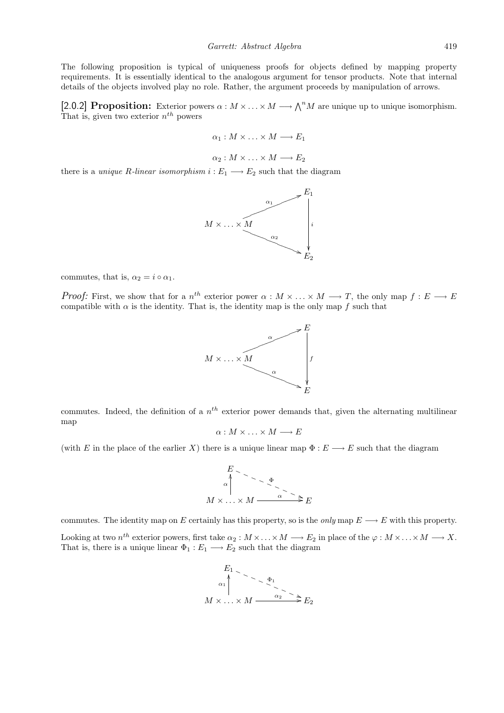The following proposition is typical of uniqueness proofs for objects defined by mapping property requirements. It is essentially identical to the analogous argument for tensor products. Note that internal details of the objects involved play no role. Rather, the argument proceeds by manipulation of arrows.

[2.0.2] Proposition: Exterior powers  $\alpha : M \times \ldots \times M \longrightarrow \bigwedge^n M$  are unique up to unique isomorphism. That is, given two exterior  $n^{th}$  powers

$$
\alpha_1: M \times \ldots \times M \longrightarrow E_1
$$

$$
\alpha_2: M \times \ldots \times M \longrightarrow E_2
$$

there is a *unique R-linear isomorphism*  $i: E_1 \longrightarrow E_2$  such that the diagram



commutes, that is,  $\alpha_2 = i \circ \alpha_1$ .

*Proof:* First, we show that for a  $n^{th}$  exterior power  $\alpha : M \times \ldots \times M \longrightarrow T$ , the only map  $f : E \longrightarrow E$ compatible with  $\alpha$  is the identity. That is, the identity map is the only map f such that



commutes. Indeed, the definition of a  $n<sup>th</sup>$  exterior power demands that, given the alternating multilinear map

$$
\alpha: M \times \ldots \times M \longrightarrow E
$$

(with E in the place of the earlier X) there is a unique linear map  $\Phi : E \longrightarrow E$  such that the diagram

$$
E
$$
  
\n
$$
\alpha \uparrow
$$
  
\n
$$
M \times \dots \times M \xrightarrow{\alpha} E
$$

commutes. The identity map on E certainly has this property, so is the *only* map  $E \longrightarrow E$  with this property. Looking at two  $n^{th}$  exterior powers, first take  $\alpha_2: M \times \ldots \times M \longrightarrow E_2$  in place of the  $\varphi: M \times \ldots \times M \longrightarrow X$ . That is, there is a unique linear  $\Phi_1 : E_1 \longrightarrow E_2$  such that the diagram

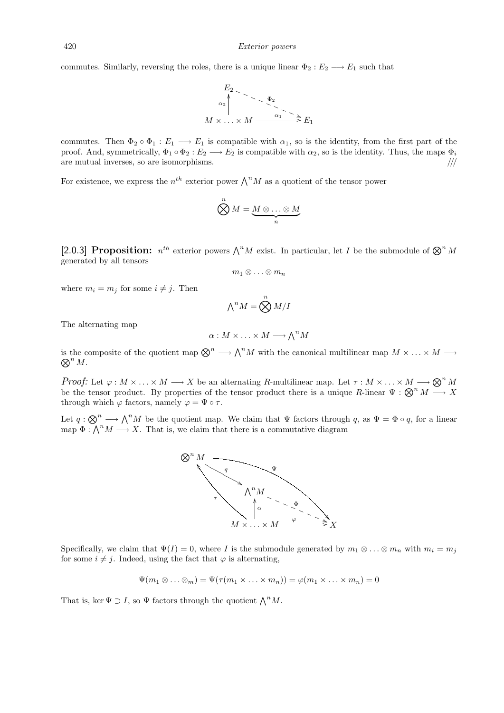commutes. Similarly, reversing the roles, there is a unique linear  $\Phi_2 : E_2 \longrightarrow E_1$  such that



commutes. Then  $\Phi_2 \circ \Phi_1 : E_1 \longrightarrow E_1$  is compatible with  $\alpha_1$ , so is the identity, from the first part of the proof. And, symmetrically,  $\Phi_1 \circ \Phi_2 : E_2 \longrightarrow E_2$  is compatible with  $\alpha_2$ , so is the identity. Thus, the maps  $\Phi_i$ are mutual inverses, so are isomorphisms.  $\frac{1}{10}$ 

For existence, we express the  $n^{th}$  exterior power  $\bigwedge^n M$  as a quotient of the tensor power

$$
\bigotimes^n M = \underbrace{M \otimes \ldots \otimes M}_{n}
$$

[2.0.3] Proposition:  $n^{th}$  exterior powers  $\bigwedge^n M$  exist. In particular, let I be the submodule of  $\bigotimes^n M$ generated by all tensors

$$
m_1\otimes\ldots\otimes m_n
$$

where  $m_i = m_j$  for some  $i \neq j$ . Then

$$
\textstyle{\bigwedge}^n M = \bigotimes^n M/I
$$

The alternating map

$$
\alpha: M \times \ldots \times M \longrightarrow \bigwedge^n M
$$

is the composite of the quotient map  $\bigotimes^n \longrightarrow \bigwedge^n M$  with the canonical multilinear map  $M \times \ldots \times M \longrightarrow$ <br> $\bigotimes^n M$ .  $\bigotimes^n M$ .

Proof: Let  $\varphi : M \times \ldots \times M \longrightarrow X$  be an alternating R-multilinear map. Let  $\tau : M \times \ldots \times M \longrightarrow \mathbb{Q}^n M$ be the tensor product. By properties of the tensor product there is a unique R-linear  $\Psi : \mathfrak{D}^n M \longrightarrow X$ through which  $\varphi$  factors, namely  $\varphi = \Psi \circ \tau$ .

Let  $q: \bigotimes^n \longrightarrow \bigwedge^n M$  be the quotient map. We claim that  $\Psi$  factors through q, as  $\Psi = \Phi \circ q$ , for a linear map  $\Phi : \bigwedge^n M \longrightarrow X$ . That is, we claim that there is a commutative diagram



Specifically, we claim that  $\Psi(I) = 0$ , where I is the submodule generated by  $m_1 \otimes \ldots \otimes m_n$  with  $m_i = m_j$ for some  $i \neq j$ . Indeed, using the fact that  $\varphi$  is alternating,

$$
\Psi(m_1 \otimes \ldots \otimes m) = \Psi(\tau(m_1 \times \ldots \times m_n)) = \varphi(m_1 \times \ldots \times m_n) = 0
$$

That is, ker  $\Psi \supset I$ , so  $\Psi$  factors through the quotient  $\bigwedge^n M$ .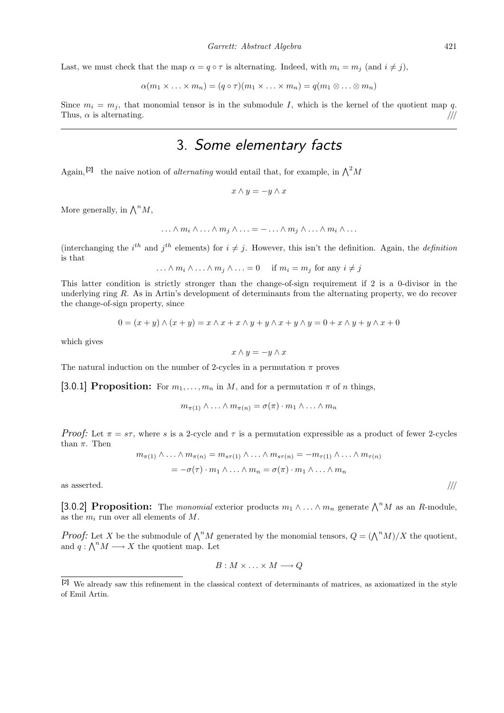Last, we must check that the map  $\alpha = q \circ \tau$  is alternating. Indeed, with  $m_i = m_j$  (and  $i \neq j$ ),

$$
\alpha(m_1 \times \ldots \times m_n) = (q \circ \tau)(m_1 \times \ldots \times m_n) = q(m_1 \otimes \ldots \otimes m_n)
$$

Since  $m_i = m_j$ , that monomial tensor is in the submodule I, which is the kernel of the quotient map q. Thus,  $\alpha$  is alternating.  $/$ ///

# 3. Some elementary facts

Again, <sup>[2]</sup> the naive notion of *alternating* would entail that, for example, in  $\Lambda^2 M$ 

$$
x\wedge y=-y\wedge x
$$

More generally, in  $\bigwedge^n M$ ,

$$
\ldots \wedge m_i \wedge \ldots \wedge m_j \wedge \ldots = - \ldots \wedge m_j \wedge \ldots \wedge m_i \wedge \ldots
$$

(interchanging the i<sup>th</sup> and j<sup>th</sup> elements) for  $i \neq j$ . However, this isn't the definition. Again, the *definition* is that

$$
\ldots \wedge m_i \wedge \ldots \wedge m_j \wedge \ldots = 0 \quad \text{if } m_i = m_j \text{ for any } i \neq j
$$

This latter condition is strictly stronger than the change-of-sign requirement if 2 is a 0-divisor in the underlying ring R. As in Artin's development of determinants from the alternating property, we do recover the change-of-sign property, since

$$
0 = (x + y) \land (x + y) = x \land x + x \land y + y \land x + y \land y = 0 + x \land y + y \land x + 0
$$

which gives

$$
x \wedge y = -y \wedge x
$$

The natural induction on the number of 2-cycles in a permutation  $\pi$  proves

[3.0.1] **Proposition:** For  $m_1, \ldots, m_n$  in M, and for a permutation  $\pi$  of n things,

$$
m_{\pi(1)} \wedge \ldots \wedge m_{\pi(n)} = \sigma(\pi) \cdot m_1 \wedge \ldots \wedge m_n
$$

Proof: Let  $\pi = s\tau$ , where s is a 2-cycle and  $\tau$  is a permutation expressible as a product of fewer 2-cycles than  $\pi$ . Then

$$
m_{\pi(1)} \wedge \ldots \wedge m_{\pi(n)} = m_{s\tau(1)} \wedge \ldots \wedge m_{s\tau(n)} = -m_{\tau(1)} \wedge \ldots \wedge m_{\tau(n)}
$$
  
=  $-\sigma(\tau) \cdot m_1 \wedge \ldots \wedge m_n = \sigma(\pi) \cdot m_1 \wedge \ldots \wedge m_n$ 

as asserted.  $/$ ///

[3.0.2] Proposition: The monomial exterior products  $m_1 \wedge \ldots \wedge m_n$  generate  $\bigwedge^n M$  as an R-module, as the  $m_i$  run over all elements of M.

*Proof:* Let X be the submodule of  $\bigwedge^n M$  generated by the monomial tensors,  $Q = (\bigwedge^n M)/X$  the quotient, and  $q: \bigwedge^n M \longrightarrow X$  the quotient map. Let

 $B: M \times \ldots \times M \longrightarrow Q$ 

<sup>[2]</sup> We already saw this refinement in the classical context of determinants of matrices, as axiomatized in the style of Emil Artin.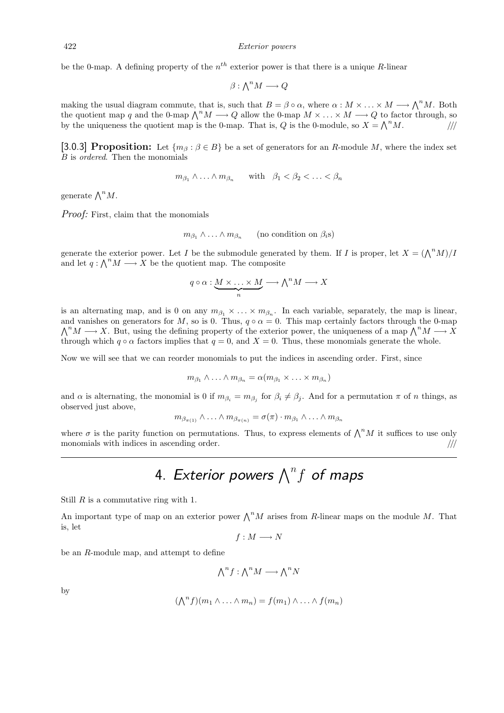be the 0-map. A defining property of the  $n^{th}$  exterior power is that there is a unique R-linear

$$
\beta: \bigwedge^n M \longrightarrow Q
$$

making the usual diagram commute, that is, such that  $B = \beta \circ \alpha$ , where  $\alpha : M \times ... \times M \longrightarrow \bigwedge^n M$ . Both the quotient map q and the 0-map  $\bigwedge^n M \longrightarrow Q$  allow the 0-map  $M \times \ldots \times M \longrightarrow Q$  to factor through, so by the uniqueness the quotient map is the 0-map. That is, Q is the 0-module, so  $X = \bigwedge^n M$ .

[3.0.3] Proposition: Let  $\{m_\beta : \beta \in B\}$  be a set of generators for an R-module M, where the index set B is ordered. Then the monomials

$$
m_{\beta_1} \wedge \ldots \wedge m_{\beta_n}
$$
 with  $\beta_1 < \beta_2 < \ldots < \beta_n$ 

generate  $\bigwedge^n M$ .

Proof: First, claim that the monomials

$$
m_{\beta_1} \wedge \ldots \wedge m_{\beta_n}
$$
 (no condition on  $\beta_i$ s)

generate the exterior power. Let I be the submodule generated by them. If I is proper, let  $X = (\bigwedge^n M)/I$ and let  $q : \bigwedge^n M \longrightarrow X$  be the quotient map. The composite

$$
q \circ \alpha : \underbrace{M \times \ldots \times M}_{n} \longrightarrow \bigwedge^{n} M \longrightarrow X
$$

is an alternating map, and is 0 on any  $m_{\beta_1} \times \ldots \times m_{\beta_n}$ . In each variable, separately, the map is linear, and vanishes on generators for M, so is 0. Thus,  $q \circ \alpha = 0$ . This map certainly factors through the 0-map  $\bigwedge^n M \longrightarrow X$ . But, using the defining property of the exterior power, the uniqueness of a map  $\bigwedge^n M \longrightarrow X$ through which  $q \circ \alpha$  factors implies that  $q = 0$ , and  $X = 0$ . Thus, these monomials generate the whole.

Now we will see that we can reorder monomials to put the indices in ascending order. First, since

$$
m_{\beta_1} \wedge \ldots \wedge m_{\beta_n} = \alpha(m_{\beta_1} \times \ldots \times m_{\beta_n})
$$

and  $\alpha$  is alternating, the monomial is 0 if  $m_{\beta_i} = m_{\beta_j}$  for  $\beta_i \neq \beta_j$ . And for a permutation  $\pi$  of n things, as observed just above,

$$
m_{\beta_{\pi(1)}} \wedge \ldots \wedge m_{\beta_{\pi(n)}} = \sigma(\pi) \cdot m_{\beta_1} \wedge \ldots \wedge m_{\beta_n}
$$

where  $\sigma$  is the parity function on permutations. Thus, to express elements of  $\bigwedge^n M$  it suffices to use only monomials with indices in ascending order.  $/$ ///

# 4. Exterior powers  $\bigwedge^n f$  of maps

Still  $R$  is a commutative ring with 1.

An important type of map on an exterior power  $\bigwedge^n M$  arises from R-linear maps on the module M. That is, let

$$
f: M \longrightarrow N
$$

be an R-module map, and attempt to define

$$
\bigwedge^n f : \bigwedge^n M \longrightarrow \bigwedge^n N
$$

by

$$
(\bigwedge^n f)(m_1 \wedge \ldots \wedge m_n) = f(m_1) \wedge \ldots \wedge f(m_n)
$$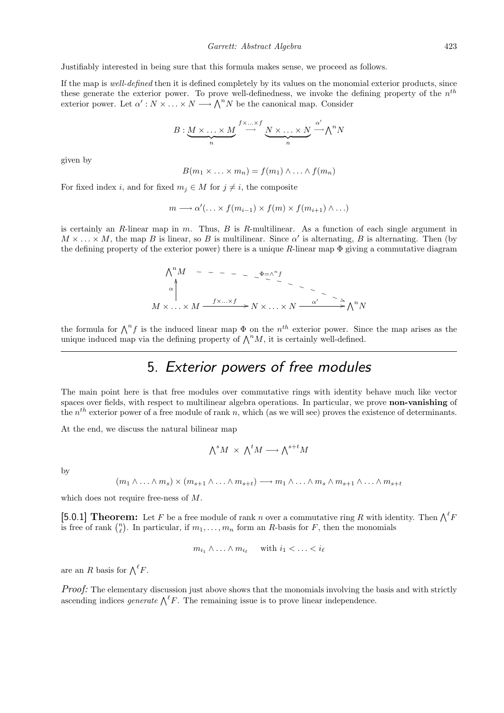Justifiably interested in being sure that this formula makes sense, we proceed as follows.

If the map is well-defined then it is defined completely by its values on the monomial exterior products, since these generate the exterior power. To prove well-definedness, we invoke the defining property of the  $n^{th}$ exterior power. Let  $\alpha': N \times \ldots \times N \longrightarrow \bigwedge^n N$  be the canonical map. Consider

$$
B: \underbrace{M \times \ldots \times M}_{n} \stackrel{f \times \ldots \times f}{\longrightarrow} \underbrace{N \times \ldots \times N}_{n} \stackrel{\alpha'}{\longrightarrow} \bigwedge^{n} N
$$

given by

$$
B(m_1 \times \ldots \times m_n) = f(m_1) \wedge \ldots \wedge f(m_n)
$$

For fixed index i, and for fixed  $m_i \in M$  for  $j \neq i$ , the composite

$$
m \longrightarrow \alpha'(\ldots \times f(m_{i-1}) \times f(m) \times f(m_{i+1}) \wedge \ldots)
$$

is certainly an  $R$ -linear map in  $m$ . Thus,  $B$  is  $R$ -multilinear. As a function of each single argument in  $M \times \ldots \times M$ , the map B is linear, so B is multilinear. Since  $\alpha'$  is alternating, B is alternating. Then (by the defining property of the exterior power) there is a unique  $R$ -linear map  $\Phi$  giving a commutative diagram

$$
\begin{array}{ccc}\n\bigwedge^{n} M & - & - & - & - & - \xrightarrow{\Phi = \wedge^{n} f} \\
\downarrow^{\alpha} & & & & \\
M \times \dots \times M & \xrightarrow{f \times \dots \times f} & N \times \dots \times N & \xrightarrow{\alpha'} & \xrightarrow{\alpha} \wedge^{n} N\n\end{array}
$$

the formula for  $\bigwedge^n f$  is the induced linear map  $\Phi$  on the  $n^{th}$  exterior power. Since the map arises as the unique induced map via the defining property of  $\bigwedge^n M$ , it is certainly well-defined.

# 5. Exterior powers of free modules

The main point here is that free modules over commutative rings with identity behave much like vector spaces over fields, with respect to multilinear algebra operations. In particular, we prove non-vanishing of the  $n<sup>th</sup>$  exterior power of a free module of rank n, which (as we will see) proves the existence of determinants.

At the end, we discuss the natural bilinear map

$$
\textstyle \bigwedge^s M \; \times \; \bigwedge^t M \longrightarrow \bigwedge^{s+t} M
$$

by

$$
(m_1 \wedge \ldots \wedge m_s) \times (m_{s+1} \wedge \ldots \wedge m_{s+t}) \longrightarrow m_1 \wedge \ldots \wedge m_s \wedge m_{s+1} \wedge \ldots \wedge m_{s+t}
$$

which does not require free-ness of M.

[5.0.1] **Theorem:** Let F be a free module of rank n over a commutative ring R with identity. Then  $\bigwedge^{\ell} F$ is free of rank  $\binom{n}{\ell}$ . In particular, if  $m_1, \ldots, m_n$  form an R-basis for F, then the monomials

$$
m_{i_1} \wedge \ldots \wedge m_{i_\ell} \quad \text{ with } i_1 < \ldots < i_\ell
$$

are an R basis for  $\bigwedge^{\ell} F$ .

Proof: The elementary discussion just above shows that the monomials involving the basis and with strictly ascending indices *generate*  $\bigwedge^{\ell} F$ . The remaining issue is to prove linear independence.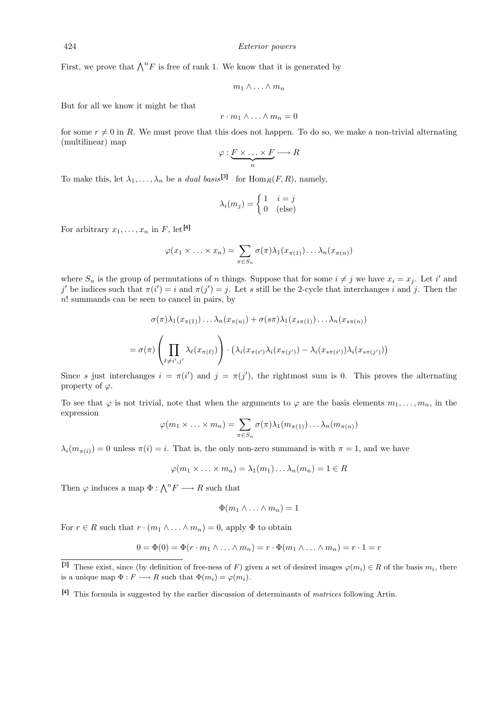First, we prove that  $\bigwedge^n F$  is free of rank 1. We know that it is generated by

$$
m_1\wedge\ldots\wedge m_n
$$

But for all we know it might be that

$$
r\cdot m_1\wedge\ldots\wedge m_n=0
$$

for some  $r \neq 0$  in R. We must prove that this does not happen. To do so, we make a non-trivial alternating (multilinear) map

$$
\varphi: \underbrace{F \times \ldots \times F}_{n} \longrightarrow R
$$

To make this, let  $\lambda_1, \ldots, \lambda_n$  be a *dual basis*<sup>[3]</sup> for  $\text{Hom}_R(F, R)$ , namely,

$$
\lambda_i(m_j) = \begin{cases} 1 & i = j \\ 0 & \text{(else)} \end{cases}
$$

For arbitrary  $x_1, \ldots, x_n$  in F, let [4]

$$
\varphi(x_1 \times \ldots \times x_n) = \sum_{\pi \in S_n} \sigma(\pi) \lambda_1(x_{\pi(1)}) \ldots \lambda_n(x_{\pi(n)})
$$

where  $S_n$  is the group of permutations of n things. Suppose that for some  $i \neq j$  we have  $x_i = x_j$ . Let i' and j' be indices such that  $\pi(i') = i$  and  $\pi(j') = j$ . Let s still be the 2-cycle that interchanges i and j. Then the n! summands can be seen to cancel in pairs, by

$$
\sigma(\pi)\lambda_1(x_{\pi(1)})\dots\lambda_n(x_{\pi(n)}) + \sigma(s\pi)\lambda_1(x_{s\pi(1)})\dots\lambda_n(x_{s\pi(n)})
$$

$$
= \sigma(\pi)\left(\prod_{\ell \neq i',j'} \lambda_\ell(x_{\pi(\ell)})\right) \cdot \left(\lambda_i(x_{\pi(i')}\lambda_i(x_{\pi(j')}) - \lambda_i(x_{s\pi(i')})\lambda_i(x_{s\pi(j')})\right)
$$

Since s just interchanges  $i = \pi(i')$  and  $j = \pi(j')$ , the rightmost sum is 0. This proves the alternating property of  $\varphi$ .

To see that  $\varphi$  is not trivial, note that when the arguments to  $\varphi$  are the basis elements  $m_1, \ldots, m_n$ , in the expression

$$
\varphi(m_1 \times \ldots \times m_n) = \sum_{\pi \in S_n} \sigma(\pi) \lambda_1(m_{\pi(1)}) \ldots \lambda_n(m_{\pi(n)})
$$

 $\lambda_i(m_{\pi(i)}) = 0$  unless  $\pi(i) = i$ . That is, the only non-zero summand is with  $\pi = 1$ , and we have

$$
\varphi(m_1 \times \ldots \times m_n) = \lambda_1(m_1) \ldots \lambda_n(m_n) = 1 \in R
$$

Then  $\varphi$  induces a map  $\Phi : \bigwedge^n F \longrightarrow R$  such that

$$
\Phi(m_1 \wedge \ldots \wedge m_n) = 1
$$

For  $r \in R$  such that  $r \cdot (m_1 \wedge \ldots \wedge m_n) = 0$ , apply  $\Phi$  to obtain

$$
0 = \Phi(0) = \Phi(r \cdot m_1 \wedge \ldots \wedge m_n) = r \cdot \Phi(m_1 \wedge \ldots \wedge m_n) = r \cdot 1 = r
$$

<sup>&</sup>lt;sup>[3]</sup> These exist, since (by definition of free-ness of F) given a set of desired images  $\varphi(m_i) \in R$  of the basis  $m_i$ , there is a unique map  $\Phi: F \longrightarrow R$  such that  $\Phi(m_i) = \varphi(m_i)$ .

<sup>[4]</sup> This formula is suggested by the earlier discussion of determinants of matrices following Artin.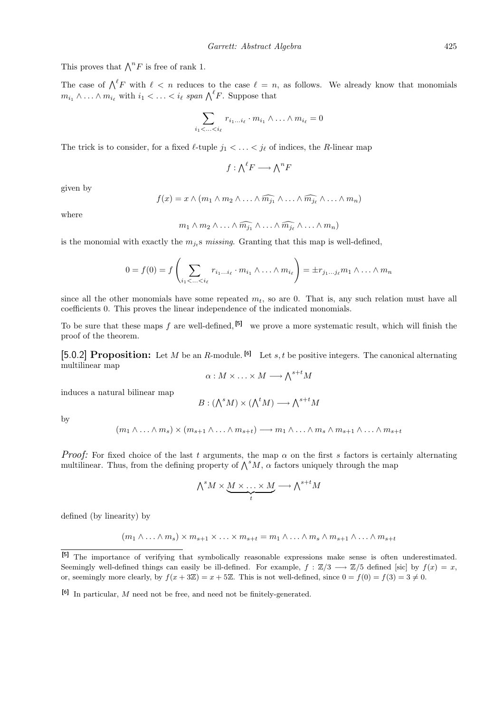This proves that  $\bigwedge^n F$  is free of rank 1.

The case of  $\bigwedge^{\ell} F$  with  $\ell < n$  reduces to the case  $\ell = n$ , as follows. We already know that monomials  $m_{i_1} \wedge \ldots \wedge m_{i_\ell}$  with  $i_1 < \ldots < i_\ell$  span  $\bigwedge^{\ell} F$ . Suppose that

$$
\sum_{i_1 < \ldots < i_\ell} r_{i_1 \ldots i_\ell} \cdot m_{i_1} \wedge \ldots \wedge m_{i_\ell} = 0
$$

The trick is to consider, for a fixed  $\ell$ -tuple  $j_1 < \ldots < j_\ell$  of indices, the R-linear map

 $f: \bigwedge^{\ell} F \longrightarrow \bigwedge^n F$ 

given by

$$
f(x) = x \wedge (m_1 \wedge m_2 \wedge \ldots \wedge \widehat{m_{j_1}} \wedge \ldots \wedge \widehat{m_{j_\ell}} \wedge \ldots \wedge m_n)
$$

where

$$
m_1 \wedge m_2 \wedge \ldots \wedge \widehat{m_{j_1}} \wedge \ldots \wedge \widehat{m_{j_\ell}} \wedge \ldots \wedge m_n)
$$

is the monomial with exactly the  $m_{j_t}$ s missing. Granting that this map is well-defined,

$$
0 = f(0) = f\left(\sum_{i_1 < \ldots < i_\ell} r_{i_1 \ldots i_\ell} \cdot m_{i_1} \wedge \ldots \wedge m_{i_\ell}\right) = \pm r_{j_1 \ldots j_\ell} m_1 \wedge \ldots \wedge m_n
$$

since all the other monomials have some repeated  $m_t$ , so are 0. That is, any such relation must have all coefficients 0. This proves the linear independence of the indicated monomials.

To be sure that these maps f are well-defined,  $[5]$  we prove a more systematic result, which will finish the proof of the theorem.

[5.0.2] Proposition: Let M be an R-module. <sup>[6]</sup> Let s, t be positive integers. The canonical alternating multilinear map

$$
\alpha: M \times \ldots \times M \longrightarrow \bigwedge^{s+t} M
$$

induces a natural bilinear map

$$
B: (\bigwedge^s M) \times (\bigwedge^t M) \longrightarrow \bigwedge^{s+t} M
$$

by

$$
(m_1 \wedge \ldots \wedge m_s) \times (m_{s+1} \wedge \ldots \wedge m_{s+t}) \longrightarrow m_1 \wedge \ldots \wedge m_s \wedge m_{s+1} \wedge \ldots \wedge m_{s+t}
$$

*Proof:* For fixed choice of the last t arguments, the map  $\alpha$  on the first s factors is certainly alternating multilinear. Thus, from the defining property of  $\bigwedge^s M$ ,  $\alpha$  factors uniquely through the map

$$
\bigwedge^s M \times \underbrace{M \times \ldots \times M}_{t} \longrightarrow \bigwedge^{s+t} M
$$

defined (by linearity) by

$$
(m_1 \wedge \ldots \wedge m_s) \times m_{s+1} \times \ldots \times m_{s+t} = m_1 \wedge \ldots \wedge m_s \wedge m_{s+1} \wedge \ldots \wedge m_{s+t}
$$

<sup>[5]</sup> The importance of verifying that symbolically reasonable expressions make sense is often underestimated. Seemingly well-defined things can easily be ill-defined. For example,  $f : \mathbb{Z}/3 \longrightarrow \mathbb{Z}/5$  defined [sic] by  $f(x) = x$ , or, seemingly more clearly, by  $f(x + 3\mathbb{Z}) = x + 5\mathbb{Z}$ . This is not well-defined, since  $0 = f(0) = f(3) = 3 \neq 0$ .

 $[6]$  In particular, M need not be free, and need not be finitely-generated.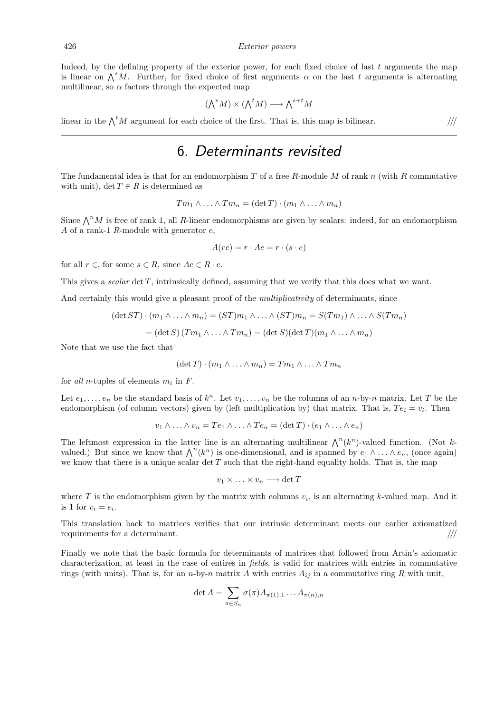Indeed, by the defining property of the exterior power, for each fixed choice of last  $t$  arguments the map is linear on  $\bigwedge^s M$ . Further, for fixed choice of first arguments  $\alpha$  on the last t arguments is alternating multilinear, so  $\alpha$  factors through the expected map

$$
(\bigwedge^s M) \times (\bigwedge^t M) \longrightarrow \bigwedge^{s+t} M
$$

linear in the  $\bigwedge^t M$  argument for each choice of the first. That is, this map is bilinear. ////

#### 6. Determinants revisited

The fundamental idea is that for an endomorphism  $T$  of a free  $R$ -module  $M$  of rank  $n$  (with  $R$  commutative with unit), det  $T \in R$  is determined as

$$
T m_1 \wedge \ldots \wedge T m_n = (\det T) \cdot (m_1 \wedge \ldots \wedge m_n)
$$

Since  $\bigwedge^n M$  is free of rank 1, all R-linear endomorphisms are given by scalars: indeed, for an endomorphism A of a rank-1  $R$ -module with generator  $e$ ,

$$
A(re) = r \cdot Ae = r \cdot (s \cdot e)
$$

for all  $r \in$ , for some  $s \in R$ , since  $Ae \in R \cdot e$ .

This gives a *scalar* det T, intrinsically defined, assuming that we verify that this does what we want.

And certainly this would give a pleasant proof of the *multiplicativity* of determinants, since

$$
(\det ST) \cdot (m_1 \wedge \ldots \wedge m_n) = (ST)m_1 \wedge \ldots \wedge (ST)m_n = S(Tm_1) \wedge \ldots \wedge S(Tm_n)
$$

$$
= (\det S) (Tm_1 \wedge \ldots \wedge Tm_n) = (\det S) (\det T)(m_1 \wedge \ldots \wedge m_n)
$$

Note that we use the fact that

$$
(\det T) \cdot (m_1 \wedge \ldots \wedge m_n) = Tm_1 \wedge \ldots \wedge Tm_n
$$

for all *n*-tuples of elements  $m_i$  in  $F$ .

Let  $e_1, \ldots, e_n$  be the standard basis of  $k^n$ . Let  $v_1, \ldots, v_n$  be the columns of an n-by-n matrix. Let T be the endomorphism (of column vectors) given by (left multiplication by) that matrix. That is,  $Te_i = v_i$ . Then

$$
v_1 \wedge \ldots \wedge v_n = Te_1 \wedge \ldots \wedge Te_n = (\det T) \cdot (e_1 \wedge \ldots \wedge e_n)
$$

The leftmost expression in the latter line is an alternating multilinear  $\bigwedge^n (k^n)$ -valued function. (Not kvalued.) But since we know that  $\bigwedge^n(k^n)$  is one-dimensional, and is spanned by  $e_1 \wedge \ldots \wedge e_n$ , (once again) we know that there is a unique scalar  $\det T$  such that the right-hand equality holds. That is, the map

$$
v_1 \times \ldots \times v_n \longrightarrow \det T
$$

where T is the endomorphism given by the matrix with columns  $v_i$ , is an alternating k-valued map. And it is 1 for  $v_i = e_i$ .

This translation back to matrices verifies that our intrinsic determinant meets our earlier axiomatized requirements for a determinant.  $\frac{1}{100}$ 

Finally we note that the basic formula for determinants of matrices that followed from Artin's axiomatic characterization, at least in the case of entires in fields, is valid for matrices with entries in commutative rings (with units). That is, for an n-by-n matrix A with entries  $A_{ij}$  in a commutative ring R with unit,

$$
\det A = \sum_{\pi \in S_n} \sigma(\pi) A_{\pi(1),1} \dots A_{\pi(n),n}
$$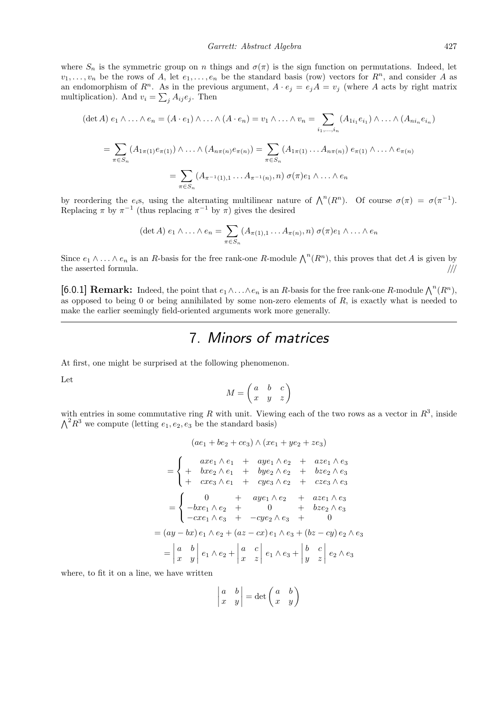where  $S_n$  is the symmetric group on n things and  $\sigma(\pi)$  is the sign function on permutations. Indeed, let  $v_1, \ldots, v_n$  be the rows of A, let  $e_1, \ldots, e_n$  be the standard basis (row) vectors for  $R^n$ , and consider A as an endomorphism of  $R^n$ . As in the previous argument,  $A \cdot e_j = e_j A = v_j$  (where A acts by right matrix multiplication). And  $v_i = \sum_j A_{ij} e_j$ . Then

$$
(\det A) e_1 \wedge \ldots \wedge e_n = (A \cdot e_1) \wedge \ldots \wedge (A \cdot e_n) = v_1 \wedge \ldots \wedge v_n = \sum_{i_1, \ldots, i_n} (A_{1i_1} e_{i_1}) \wedge \ldots \wedge (A_{ni_n} e_{i_n})
$$

$$
= \sum_{\pi \in S_n} (A_{1\pi(1)} e_{\pi(1)}) \wedge \ldots \wedge (A_{n\pi(n)} e_{\pi(n)}) = \sum_{\pi \in S_n} (A_{1\pi(1)} \ldots A_{n\pi(n)}) e_{\pi(1)} \wedge \ldots \wedge e_{\pi(n)}
$$

$$
= \sum_{\pi \in S_n} (A_{\pi^{-1}(1),1} \ldots A_{\pi^{-1}(n)}, n) \sigma(\pi) e_1 \wedge \ldots \wedge e_n
$$

by reordering the  $e_i$ s, using the alternating multilinear nature of  $\bigwedge^n(R^n)$ . Of course  $\sigma(\pi) = \sigma(\pi^{-1})$ . Replacing  $\pi$  by  $\pi^{-1}$  (thus replacing  $\pi^{-1}$  by  $\pi$ ) gives the desired

$$
(\det A) e_1 \wedge \ldots \wedge e_n = \sum_{\pi \in S_n} (A_{\pi(1),1} \ldots A_{\pi(n)}, n) \sigma(\pi) e_1 \wedge \ldots \wedge e_n
$$

Since  $e_1 \wedge \ldots \wedge e_n$  is an R-basis for the free rank-one R-module  $\bigwedge^n(R^n)$ , this proves that det A is given by the asserted formula.  $/$ ///

[6.0.1] **Remark:** Indeed, the point that  $e_1 \wedge \ldots \wedge e_n$  is an R-basis for the free rank-one R-module  $\bigwedge^n (R^n)$ , as opposed to being 0 or being annihilated by some non-zero elements of  $R$ , is exactly what is needed to make the earlier seemingly field-oriented arguments work more generally.

# 7. Minors of matrices

At first, one might be surprised at the following phenomenon.

Let

$$
M = \begin{pmatrix} a & b & c \\ x & y & z \end{pmatrix}
$$

with entries in some commutative ring R with unit. Viewing each of the two rows as a vector in  $R^3$ , inside  $\bigwedge^2 R^3$  we compute (letting  $e_1, e_2, e_3$  be the standard basis)

$$
(ae_1 + be_2 + ce_3) \wedge (xe_1 + ye_2 + ze_3)
$$
  
= 
$$
\begin{cases} \naxe_1 \wedge e_1 + aye_1 \wedge e_2 + aze_1 \wedge e_3 \\ \n+ bxe_2 \wedge e_1 + bye_2 \wedge e_2 + bze_2 \wedge e_3 \\ \n+ cxe_3 \wedge e_1 + cye_3 \wedge e_2 + cze_3 \wedge e_3 \n\end{cases}
$$
  
= 
$$
\begin{cases} \n0 &+ aye_1 \wedge e_2 + aze_1 \wedge e_3 \\ \n- cxe_1 \wedge e_3 + cye_2 \wedge e_3 + 0 \\ \n-cxe_1 \wedge e_3 + cye_2 \wedge e_3 + 0 \n\end{cases}
$$
  
= 
$$
(ay - bx) e_1 \wedge e_2 + (az - cx) e_1 \wedge e_3 + (bz - cy) e_2 \wedge e_3
$$
  
= 
$$
\begin{vmatrix} a & b \\ x & y \end{vmatrix} e_1 \wedge e_2 + \begin{vmatrix} a & c \\ x & z \end{vmatrix} e_1 \wedge e_3 + \begin{vmatrix} b & c \\ y & z \end{vmatrix} e_2 \wedge e_3
$$

where, to fit it on a line, we have written

$$
\begin{vmatrix} a & b \\ x & y \end{vmatrix} = \det \begin{pmatrix} a & b \\ x & y \end{pmatrix}
$$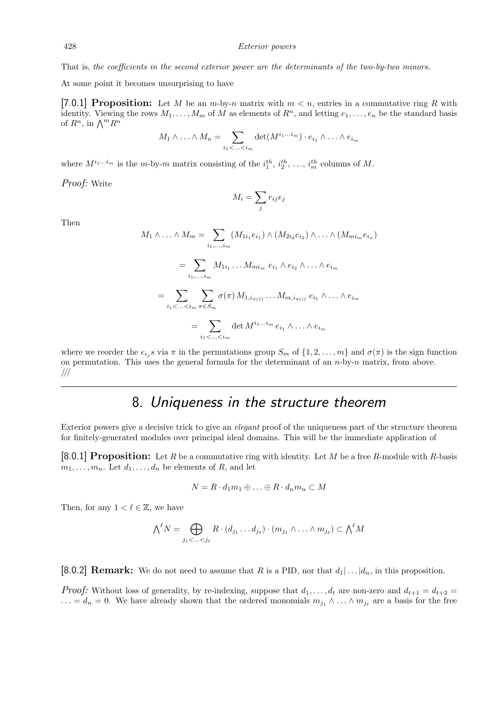#### That is, the coefficients in the second exterior power are the determinants of the two-by-two minors.

At some point it becomes unsurprising to have

[7.0.1] Proposition: Let M be an  $m$ -by-n matrix with  $m < n$ , entries in a commutative ring R with identity. Viewing the rows  $M_1, \ldots, M_m$  of M as elements of  $R^n$ , and letting  $e_1, \ldots, e_n$  be the standard basis of  $R^n$ , in  $\bigwedge^m R^n$ 

$$
M_1 \wedge \ldots \wedge M_n = \sum_{i_1 < \ldots < i_m} \det(M^{i_1 \ldots i_m}) \cdot e_{i_1} \wedge \ldots \wedge e_{i_m}
$$

 $M_i = \sum$ j

 $r_{ij} e_j$ 

where  $M^{i_1...i_m}$  is the m-by-m matrix consisting of the  $i_1^{th}, i_2^{th}, \ldots, i_m^{th}$  columns of M.

Proof: Write

Then

$$
M_1 \wedge \ldots \wedge M_m = \sum_{i_1, \ldots, i_m} (M_{1i_1} e_{i_1}) \wedge (M_{2i_2} e_{i_2}) \wedge \ldots \wedge (M_{mi_m} e_{i_n})
$$
  

$$
= \sum_{i_1, \ldots, i_m} M_{1i_1} \ldots M_{mi_m} e_{i_1} \wedge e_{i_2} \wedge \ldots \wedge e_{i_m}
$$
  

$$
= \sum_{i_1 < \ldots < i_m} \sum_{\pi \in S_m} \sigma(\pi) M_{1, i_{\pi(1)}} \ldots M_{m, i_{\pi(i)}} e_{i_1} \wedge \ldots \wedge e_{i_m}
$$
  

$$
= \sum_{i_1 < \ldots < i_m} \det M^{i_1 \ldots i_m} e_{i_1} \wedge \ldots \wedge e_{i_m}
$$

where we reorder the  $e_{i_j}s$  via  $\pi$  in the permutations group  $S_m$  of  $\{1, 2, ..., m\}$  and  $\sigma(\pi)$  is the sign function on permutation. This uses the general formula for the determinant of an  $n$ -by- $n$  matrix, from above. ///

#### 8. Uniqueness in the structure theorem

Exterior powers give a decisive trick to give an elegant proof of the uniqueness part of the structure theorem for finitely-generated modules over principal ideal domains. This will be the immediate application of

[8.0.1] Proposition: Let R be a commutative ring with identity. Let M be a free R-module with R-basis  $m_1, \ldots, m_n$ . Let  $d_1, \ldots, d_n$  be elements of R, and let

$$
N = R \cdot d_1 m_1 \oplus \ldots \oplus R \cdot d_n m_n \subset M
$$

Then, for any  $1 < \ell \in \mathbb{Z}$ , we have

$$
\bigwedge^{\ell} N = \bigoplus_{j_1 < \ldots < j_{\ell}} R \cdot (d_{j_1} \ldots d_{j_{\ell}}) \cdot (m_{j_1} \wedge \ldots \wedge m_{j_{\ell}}) \subset \bigwedge^{\ell} M
$$

[8.0.2] **Remark:** We do not need to assume that R is a PID, nor that  $d_1 | \dots | d_n$ , in this proposition.

*Proof:* Without loss of generality, by re-indexing, suppose that  $d_1, \ldots, d_t$  are non-zero and  $d_{t+1} = d_{t+2}$  $\ldots = d_n = 0$ . We have already shown that the ordered monomials  $m_{j_1} \wedge \ldots \wedge m_{j_\ell}$  are a basis for the free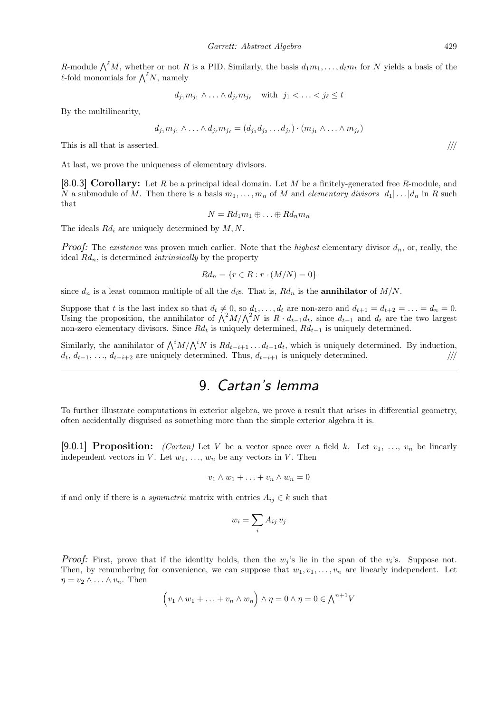R-module  $\bigwedge^{\ell}M$ , whether or not R is a PID. Similarly, the basis  $d_1m_1, \ldots, d_tm_t$  for N yields a basis of the  $\ell$ -fold monomials for  $\bigwedge^{\ell} N$ , namely

$$
d_{j_1}m_{j_1}\wedge\ldots\wedge d_{j_\ell}m_{j_\ell}\quad\text{with }j_1<\ldots
$$

By the multilinearity,

$$
d_{j_1}m_{j_1}\wedge \ldots \wedge d_{j_\ell}m_{j_\ell}=(d_{j_1}d_{j_2}\ldots d_{j_\ell})\cdot (m_{j_1}\wedge \ldots \wedge m_{j_\ell})
$$

This is all that is asserted.  $/$ ///

At last, we prove the uniqueness of elementary divisors.

[8.0.3] Corollary: Let R be a principal ideal domain. Let M be a finitely-generated free R-module, and N a submodule of M. Then there is a basis  $m_1, \ldots, m_n$  of M and elementary divisors  $d_1 | \ldots | d_n$  in R such that

$$
N = Rd_1m_1 \oplus \ldots \oplus Rd_n m_n
$$

The ideals  $Rd_i$  are uniquely determined by  $M, N$ .

*Proof:* The *existence* was proven much earlier. Note that the *highest* elementary divisor  $d_n$ , or, really, the ideal  $Rd_n$ , is determined *intrinsically* by the property

$$
Rd_n = \{r \in R : r \cdot (M/N) = 0\}
$$

since  $d_n$  is a least common multiple of all the  $d_i$ s. That is,  $Rd_n$  is the **annihilator** of  $M/N$ .

Suppose that t is the last index so that  $d_t \neq 0$ , so  $d_1, \ldots, d_t$  are non-zero and  $d_{t+1} = d_{t+2} = \ldots = d_n = 0$ . Using the proposition, the annihilator of  $\bigwedge^2 M/\bigwedge^2 N$  is  $R \cdot d_{t-1}d_t$ , since  $d_{t-1}$  and  $d_t$  are the two largest non-zero elementary divisors. Since  $Rd_t$  is uniquely determined,  $Rd_{t-1}$  is uniquely determined.

Similarly, the annihilator of  $\bigwedge^t M/\bigwedge^t N$  is  $Rd_{t-i+1} \ldots d_{t-1}d_t$ , which is uniquely determined. By induction,  $d_t, d_{t-1}, \ldots, d_{t-i+2}$  are uniquely determined. Thus,  $d_{t-i+1}$  is uniquely determined. ////

## 9. Cartan's lemma

To further illustrate computations in exterior algebra, we prove a result that arises in differential geometry, often accidentally disguised as something more than the simple exterior algebra it is.

[9.0.1] Proposition: *(Cartan)* Let V be a vector space over a field k. Let  $v_1, \ldots, v_n$  be linearly independent vectors in V. Let  $w_1, \ldots, w_n$  be any vectors in V. Then

$$
v_1 \wedge w_1 + \ldots + v_n \wedge w_n = 0
$$

if and only if there is a *symmetric* matrix with entries  $A_{ij} \in k$  such that

$$
w_i = \sum_i A_{ij} v_j
$$

*Proof:* First, prove that if the identity holds, then the  $w_j$ 's lie in the span of the  $v_i$ 's. Suppose not. Then, by renumbering for convenience, we can suppose that  $w_1, v_1, \ldots, v_n$  are linearly independent. Let  $\eta = v_2 \wedge \ldots \wedge v_n$ . Then

$$
(v_1 \wedge w_1 + \ldots + v_n \wedge w_n) \wedge \eta = 0 \wedge \eta = 0 \in \bigwedge^{n+1} V
$$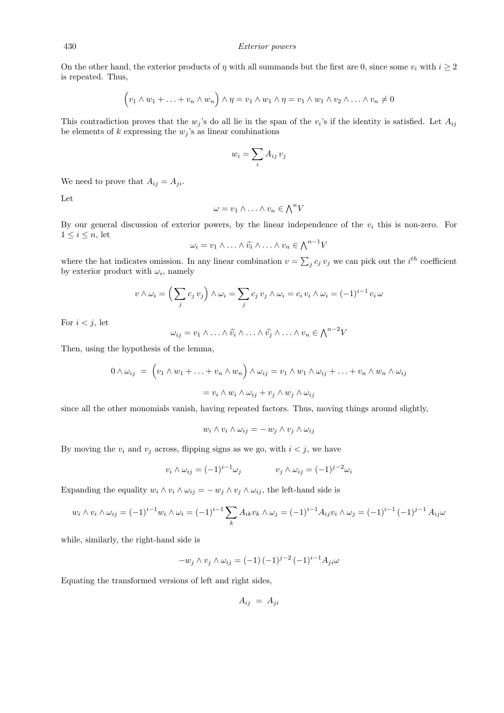On the other hand, the exterior products of  $\eta$  with all summands but the first are 0, since some  $v_i$  with  $i \geq 2$ is repeated. Thus,

$$
(v_1 \wedge w_1 + \ldots + v_n \wedge w_n) \wedge \eta = v_1 \wedge w_1 \wedge \eta = v_1 \wedge w_1 \wedge v_2 \wedge \ldots \wedge v_n \neq 0
$$

This contradiction proves that the  $w_j$ 's do all lie in the span of the  $v_i$ 's if the identity is satisfied. Let  $A_{ij}$ be elements of k expressing the  $w_j$ 's as linear combinations

$$
w_i = \sum_i A_{ij} v_j
$$

We need to prove that  $A_{ij} = A_{ji}$ .

Let

$$
\omega = v_1 \wedge \ldots \wedge v_n \in \bigwedge^n V
$$

By our general discussion of exterior powers, by the linear independence of the  $v_i$  this is non-zero. For  $1 \leq i \leq n$ , let

$$
\omega_i = v_1 \wedge \ldots \wedge \widehat{v_i} \wedge \ldots \wedge v_n \in \bigwedge^{n-1} V
$$

where the hat indicates omission. In any linear combination  $v = \sum_j c_j v_j$  we can pick out the *i*<sup>th</sup> coefficient by exterior product with  $\omega_i$ , namely

$$
v \wedge \omega_i = \left(\sum_j c_j v_j\right) \wedge \omega_i = \sum_j c_j v_j \wedge \omega_i = c_i v_i \wedge \omega_i = (-1)^{i-1} c_i \omega
$$

For  $i < j$ , let

$$
\omega_{ij} = v_1 \wedge \ldots \wedge \widehat{v_i} \wedge \ldots \wedge \widehat{v_j} \wedge \ldots \wedge v_n \in \bigwedge^{n-2} V
$$

Then, using the hypothesis of the lemma,

$$
0 \wedge \omega_{ij} = \left( v_1 \wedge w_1 + \ldots + v_n \wedge w_n \right) \wedge \omega_{ij} = v_1 \wedge w_1 \wedge \omega_{ij} + \ldots + v_n \wedge w_n \wedge \omega_{ij}
$$

$$
= v_i \wedge w_i \wedge \omega_{ij} + v_j \wedge w_j \wedge \omega_{ij}
$$

since all the other monomials vanish, having repeated factors. Thus, moving things around slightly,

$$
w_i \wedge v_i \wedge \omega_{ij} = -w_j \wedge v_j \wedge \omega_{ij}
$$

By moving the  $v_i$  and  $v_j$  across, flipping signs as we go, with  $i < j$ , we have

$$
v_i \wedge \omega_{ij} = (-1)^{i-1} \omega_j \qquad \qquad v_j \wedge \omega_{ij} = (-1)^{j-2} \omega_i
$$

Expanding the equality  $w_i \wedge v_i \wedge \omega_{ij} = -w_j \wedge v_j \wedge \omega_{ij}$ , the left-hand side is

$$
w_i \wedge v_i \wedge \omega_{ij} = (-1)^{i-1} w_i \wedge \omega_i = (-1)^{i-1} \sum_k A_{ik} v_k \wedge \omega_j = (-1)^{i-1} A_{ij} v_i \wedge \omega_j = (-1)^{i-1} (-1)^{j-1} A_{ij} \omega
$$

while, similarly, the right-hand side is

$$
-w_j \wedge v_j \wedge \omega_{ij} = (-1)(-1)^{j-2} (-1)^{i-1} A_{ji} \omega
$$

Equating the transformed versions of left and right sides,

$$
A_{ij} = A_{ji}
$$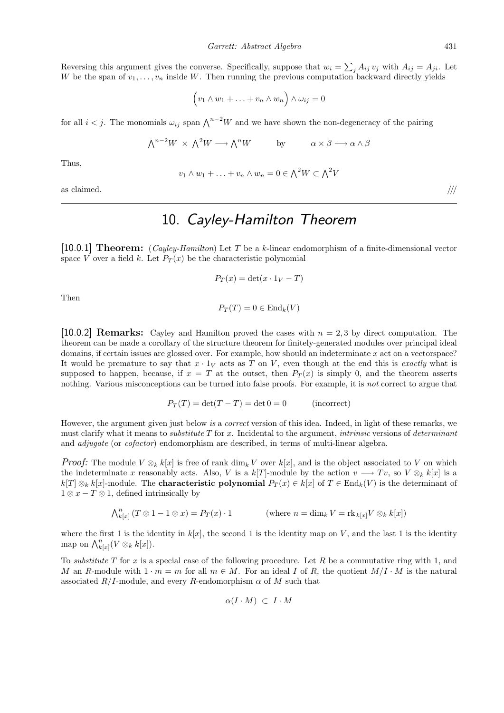Reversing this argument gives the converse. Specifically, suppose that  $w_i = \sum_j A_{ij} v_j$  with  $A_{ij} = A_{ji}$ . Let W be the span of  $v_1, \ldots, v_n$  inside W. Then running the previous computation backward directly yields

$$
(v_1 \wedge w_1 + \ldots + v_n \wedge w_n) \wedge \omega_{ij} = 0
$$

for all  $i < j$ . The monomials  $\omega_{ij}$  span  $\bigwedge^{n-2}W$  and we have shown the non-degeneracy of the pairing

$$
\bigwedge^{n-2}W \times \bigwedge^2 W \longrightarrow \bigwedge^n W \qquad \text{by} \qquad \alpha \times \beta \longrightarrow \alpha \wedge \beta
$$

Thus,

$$
v_1 \wedge w_1 + \ldots + v_n \wedge w_n = 0 \in \bigwedge^2 W \subset \bigwedge^2 V
$$

as claimed.  $/$ ///

# 10. Cayley-Hamilton Theorem

[10.0.1] Theorem:  $(Cayley-Hamilton)$  Let T be a k-linear endomorphism of a finite-dimensional vector space V over a field k. Let  $P_T(x)$  be the characteristic polynomial

$$
P_T(x) = \det(x \cdot 1_V - T)
$$

Then

 $P_T(T) = 0 \in \text{End}_k(V)$ 

[10.0.2] **Remarks:** Cayley and Hamilton proved the cases with  $n = 2, 3$  by direct computation. The theorem can be made a corollary of the structure theorem for finitely-generated modules over principal ideal domains, if certain issues are glossed over. For example, how should an indeterminate x act on a vectorspace? It would be premature to say that  $x \cdot 1_V$  acts as T on V, even though at the end this is exactly what is supposed to happen, because, if  $x = T$  at the outset, then  $P_T(x)$  is simply 0, and the theorem asserts nothing. Various misconceptions can be turned into false proofs. For example, it is not correct to argue that

$$
P_T(T) = \det(T - T) = \det 0 = 0
$$
 (incorrect)

However, the argument given just below is a *correct* version of this idea. Indeed, in light of these remarks, we must clarify what it means to *substitute*  $T$  for  $x$ . Incidental to the argument, *intrinsic* versions of *determinant* and *adjugate* (or *cofactor*) endomorphism are described, in terms of multi-linear algebra.

*Proof:* The module  $V \otimes_k k[x]$  is free of rank dim<sub>k</sub> V over k[x], and is the object associated to V on which the indeterminate x reasonably acts. Also, V is a k[T]-module by the action  $v \rightarrow Tv$ , so  $V \otimes_k k[x]$  is a  $k[T] \otimes_k k[x]$ -module. The **characteristic polynomial**  $P_T(x) \in k[x]$  of  $T \in End_k(V)$  is the determinant of  $1 \otimes x - T \otimes 1$ , defined intrinsically by

$$
\bigwedge_{k[x]}^{n} (T \otimes 1 - 1 \otimes x) = P_T(x) \cdot 1 \qquad \qquad (\text{where } n = \dim_k V = \text{rk}_{k[x]} V \otimes_k k[x])
$$

where the first 1 is the identity in  $k[x]$ , the second 1 is the identity map on V, and the last 1 is the identity map on  $\bigwedge_{k[x]}^n (V \otimes_k k[x])$ .

To *substitute* T for x is a special case of the following procedure. Let R be a commutative ring with 1, and M an R-module with  $1 \cdot m = m$  for all  $m \in M$ . For an ideal I of R, the quotient  $M/I \cdot M$  is the natural associated  $R/I$ -module, and every R-endomorphism  $\alpha$  of M such that

$$
\alpha(I \cdot M) \ \subset \ I \cdot M
$$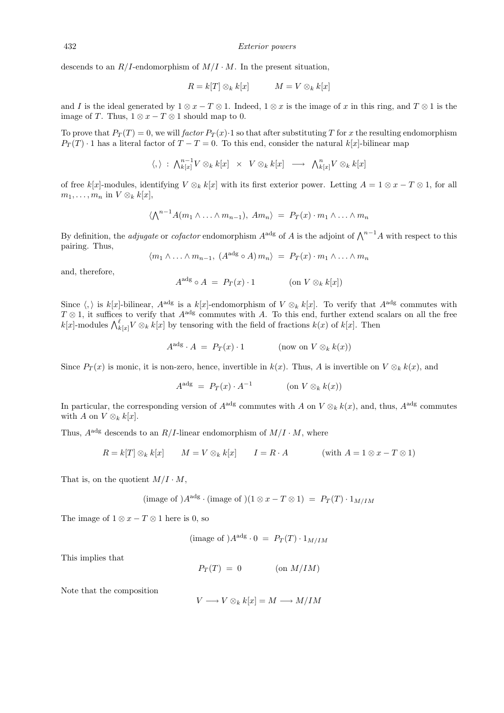descends to an  $R/I$ -endomorphism of  $M/I \cdot M$ . In the present situation,

$$
R = k[T] \otimes_k k[x] \qquad \qquad M = V \otimes_k k[x]
$$

and I is the ideal generated by  $1 \otimes x - T \otimes 1$ . Indeed,  $1 \otimes x$  is the image of x in this ring, and  $T \otimes 1$  is the image of T. Thus,  $1 \otimes x - T \otimes 1$  should map to 0.

To prove that  $P_T(T) = 0$ , we will factor  $P_T(x) \cdot 1$  so that after substituting T for x the resulting endomorphism  $P_T(T)$  · 1 has a literal factor of  $T - T = 0$ . To this end, consider the natural k[x]-bilinear map

$$
\langle,\rangle\;:\;\textstyle{\bigwedge}^{n-1}_{k[x]}V\otimes_{k}k[x]\;\;\times\;\;V\otimes_{k}k[x]\;\;\longrightarrow\;\;{\bigwedge}^n_{k[x]}V\otimes_{k}k[x]
$$

of free k[x]-modules, identifying  $V \otimes_k k[x]$  with its first exterior power. Letting  $A = 1 \otimes x - T \otimes 1$ , for all  $m_1, \ldots, m_n$  in  $V \otimes_k k[x]$ ,

$$
\langle \bigwedge^{n-1} A(m_1 \wedge \ldots \wedge m_{n-1}), \, Am_n \rangle \ = \ P_T(x) \cdot m_1 \wedge \ldots \wedge m_n
$$

By definition, the *adjugate* or *cofactor* endomorphism  $A^{adg}$  of A is the adjoint of  $\Lambda^{n-1}A$  with respect to this pairing. Thus,

$$
\langle m_1 \wedge \ldots \wedge m_{n-1}, (A^{adg} \circ A) m_n \rangle = P_T(x) \cdot m_1 \wedge \ldots \wedge m_n
$$

and, therefore,

$$
A^{\text{adg}} \circ A = P_T(x) \cdot 1 \quad (\text{on } V \otimes_k k[x])
$$

Since  $\langle , \rangle$  is k[x]-bilinear,  $A^{adg}$  is a k[x]-endomorphism of  $V \otimes_k k[x]$ . To verify that  $A^{adg}$  commutes with  $T \otimes 1$ , it suffices to verify that  $A^{adg}$  commutes with A. To this end, further extend scalars on all the free  $k[x]$ -modules  $\bigwedge_{k[x]}^{ell} V \otimes_k k[x]$  by tensoring with the field of fractions  $k(x)$  of  $k[x]$ . Then

$$
A^{\text{adg}} \cdot A = P_T(x) \cdot 1 \qquad (\text{now on } V \otimes_k k(x))
$$

Since  $P_T(x)$  is monic, it is non-zero, hence, invertible in  $k(x)$ . Thus, A is invertible on  $V \otimes_k k(x)$ , and

$$
A^{\text{adg}} = P_T(x) \cdot A^{-1} \quad (\text{on } V \otimes_k k(x))
$$

In particular, the corresponding version of  $A^{adg}$  commutes with A on  $V \otimes_k k(x)$ , and, thus,  $A^{adg}$  commutes with A on  $V \otimes_k k[x]$ .

Thus,  $A^{adg}$  descends to an  $R/I$ -linear endomorphism of  $M/I \cdot M$ , where

$$
R = k[T] \otimes_k k[x] \qquad M = V \otimes_k k[x] \qquad I = R \cdot A \qquad (\text{with } A = 1 \otimes x - T \otimes 1)
$$

That is, on the quotient  $M/I \cdot M$ ,

$$
(\text{image of})A^{\text{adg}} \cdot (\text{image of}) (1 \otimes x - T \otimes 1) = P_T(T) \cdot 1_{M/IM}
$$

The image of  $1 \otimes x - T \otimes 1$  here is 0, so

$$
(\text{image of})A^{\text{adg}} \cdot 0 = P_T(T) \cdot 1_{M/IM}
$$

This implies that

$$
P_T(T) = 0 \qquad \qquad (\text{on } M/IM)
$$

Note that the composition

$$
V \longrightarrow V \otimes_k k[x] = M \longrightarrow M/IM
$$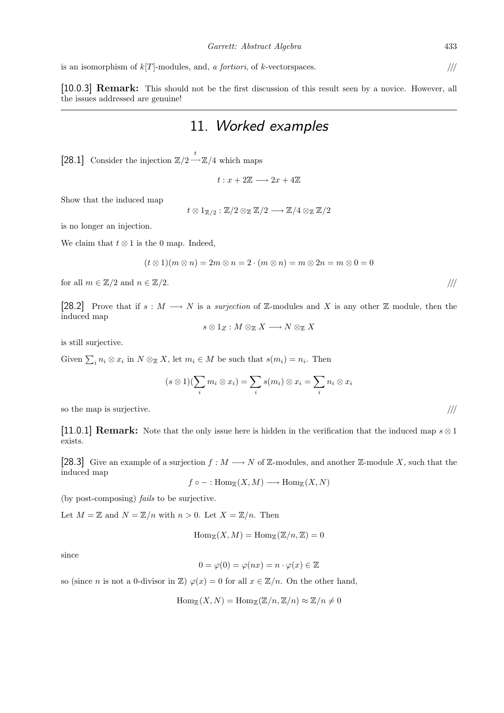is an isomorphism of  $k[T]$ -modules, and, a *fortiori*, of k-vectorspaces.  $/$ ///

[10.0.3] Remark: This should not be the first discussion of this result seen by a novice. However, all the issues addressed are genuine!

#### 11. Worked examples

[28.1] Consider the injection  $\mathbb{Z}/2 \longrightarrow \mathbb{Z}/4$  which maps

 $t: x + 2\mathbb{Z} \longrightarrow 2x + 4\mathbb{Z}$ 

Show that the induced map

 $t \otimes 1_{\mathbb{Z}/2} : \mathbb{Z}/2 \otimes_{\mathbb{Z}} \mathbb{Z}/2 \longrightarrow \mathbb{Z}/4 \otimes_{\mathbb{Z}} \mathbb{Z}/2$ 

is no longer an injection.

We claim that  $t \otimes 1$  is the 0 map. Indeed,

$$
(t \otimes 1)(m \otimes n) = 2m \otimes n = 2 \cdot (m \otimes n) = m \otimes 2n = m \otimes 0 = 0
$$

for all  $m \in \mathbb{Z}/2$  and  $n \in \mathbb{Z}/2$ .

[28.2] Prove that if  $s : M \longrightarrow N$  is a *surjection* of Z-modules and X is any other Z module, then the induced map

$$
s\otimes 1_Z: M\otimes_\mathbb{Z} X\longrightarrow N\otimes_\mathbb{Z} X
$$

is still surjective.

Given  $\sum_i n_i \otimes x_i$  in  $N \otimes_{\mathbb{Z}} X$ , let  $m_i \in M$  be such that  $s(m_i) = n_i$ . Then

$$
(s \otimes 1)(\sum_i m_i \otimes x_i) = \sum_i s(m_i) \otimes x_i = \sum_i n_i \otimes x_i
$$
 so the map is surjective.

[11.0.1] **Remark:** Note that the only issue here is hidden in the verification that the induced map  $s \otimes 1$ exists.

[28.3] Give an example of a surjection  $f : M \longrightarrow N$  of  $\mathbb{Z}$ -modules, and another  $\mathbb{Z}$ -module X, such that the induced map

 $f \circ - : \text{Hom}_{\mathbb{Z}}(X, M) \longrightarrow \text{Hom}_{\mathbb{Z}}(X, N)$ 

(by post-composing) fails to be surjective.

Let  $M = \mathbb{Z}$  and  $N = \mathbb{Z}/n$  with  $n > 0$ . Let  $X = \mathbb{Z}/n$ . Then

$$
\operatorname{Hom}_{\mathbb{Z}}(X,M) = \operatorname{Hom}_{\mathbb{Z}}(\mathbb{Z}/n,\mathbb{Z}) = 0
$$

since

$$
0 = \varphi(0) = \varphi(nx) = n \cdot \varphi(x) \in \mathbb{Z}
$$

so (since *n* is not a 0-divisor in  $\mathbb{Z}$ )  $\varphi(x) = 0$  for all  $x \in \mathbb{Z}/n$ . On the other hand,

$$
\operatorname{Hom}_{\mathbb{Z}}(X,N) = \operatorname{Hom}_{\mathbb{Z}}(\mathbb{Z}/n, \mathbb{Z}/n) \approx \mathbb{Z}/n \neq 0
$$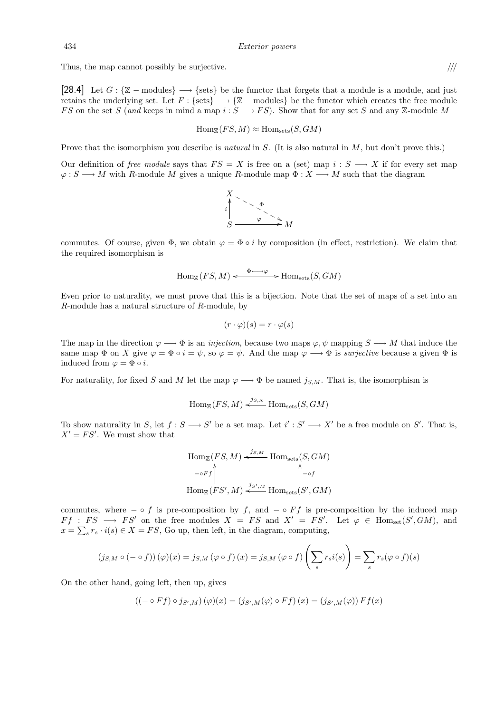Thus, the map cannot possibly be surjective.  $\frac{1}{10}$ 

[28.4] Let  $G: \{\mathbb{Z} \text{ -- modules}\}\longrightarrow \{\text{sets}\}\$  be the functor that forgets that a module is a module, and just retains the underlying set. Let  $F : \{ \text{sets} \} \longrightarrow \{ \mathbb{Z} - \text{modules} \}$  be the functor which creates the free module FS on the set S (and keeps in mind a map  $i: S \longrightarrow FS$ ). Show that for any set S and any Z-module M

$$
\operatorname{Hom}_{\mathbb{Z}}(FS, M) \approx \operatorname{Hom}_{\text{sets}}(S, GM)
$$

Prove that the isomorphism you describe is *natural* in S. (It is also natural in M, but don't prove this.)

Our definition of free module says that  $FS = X$  is free on a (set) map  $i : S \longrightarrow X$  if for every set map  $\varphi: S \longrightarrow M$  with R-module M gives a unique R-module map  $\Phi: X \longrightarrow M$  such that the diagram



commutes. Of course, given  $\Phi$ , we obtain  $\varphi = \Phi \circ i$  by composition (in effect, restriction). We claim that the required isomorphism is

$$
\operatorname{Hom}_{\mathbb{Z}}(FS, M) \xleftarrow{\Phi \longleftrightarrow \varphi} \operatorname{Hom}_{\text{sets}}(S, GM)
$$

Even prior to naturality, we must prove that this is a bijection. Note that the set of maps of a set into an R-module has a natural structure of R-module, by

$$
(r \cdot \varphi)(s) = r \cdot \varphi(s)
$$

The map in the direction  $\varphi \longrightarrow \Phi$  is an *injection*, because two maps  $\varphi, \psi$  mapping  $S \longrightarrow M$  that induce the same map  $\Phi$  on X give  $\varphi = \Phi \circ i = \psi$ , so  $\varphi = \psi$ . And the map  $\varphi \longrightarrow \Phi$  is *surjective* because a given  $\Phi$  is induced from  $\varphi = \Phi \circ i$ .

For naturality, for fixed S and M let the map  $\varphi \longrightarrow \Phi$  be named  $j_{S,M}$ . That is, the isomorphism is

$$
\operatorname{Hom}_{\mathbb{Z}}(FS, M) \xleftarrow{j_{S,X}} \operatorname{Hom}_{\text{sets}}(S, GM)
$$

To show naturality in S, let  $f : S \longrightarrow S'$  be a set map. Let  $i' : S' \longrightarrow X'$  be a free module on S'. That is,  $X' = FS'$ . We must show that

$$
\text{Hom}_{\mathbb{Z}}(FS, M) \xleftarrow{j_{S,M}} \text{Hom}_{\text{sets}}(S, GM)
$$
\n
$$
\leftarrow \circ Ff \qquad \qquad \downarrow \circ f
$$
\n
$$
\text{Hom}_{\mathbb{Z}}(FS', M) \xleftarrow{j_{S',M}} \text{Hom}_{\text{sets}}(S', GM)
$$

commutes, where – ◦ f is pre-composition by f, and – ◦ Ff is pre-composition by the induced map  $Ff : FS \longrightarrow FS'$  on the free modules  $X = FS$  and  $X' = FS'$ . Let  $\varphi \in \text{Hom}_{set}(S', GM)$ , and  $x = \sum_{s} r_s \cdot i(s) \in X = FS$ , Go up, then left, in the diagram, computing,

$$
(j_{S,M} \circ (-\circ f))(\varphi)(x) = j_{S,M}(\varphi \circ f)(x) = j_{S,M}(\varphi \circ f)\left(\sum_s r_s i(s)\right) = \sum_s r_s(\varphi \circ f)(s)
$$

On the other hand, going left, then up, gives

$$
((-\circ Ff) \circ j_{S',M})(\varphi)(x) = (j_{S',M}(\varphi) \circ Ff)(x) = (j_{S',M}(\varphi)) Ff(x)
$$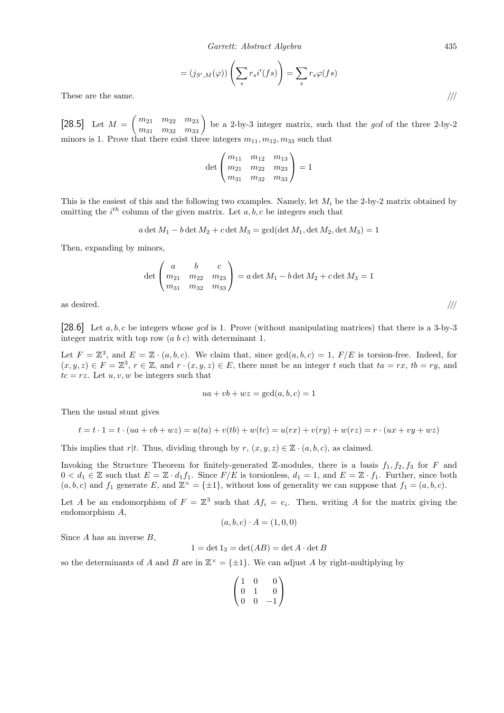$$
= (j_{S',M}(\varphi)) \left( \sum_s r_s i'(fs) \right) = \sum_s r_s \varphi(fs)
$$

These are the same.

[28.5] Let  $M = \begin{pmatrix} m_{21} & m_{22} & m_{23} \\ m_{31} & m_{32} & m_{33} \end{pmatrix}$  be a 2-by-3 integer matrix, such that the *gcd* of the three 2-by-2 minors is 1. Prove that there exist three integers  $m_{11}, m_{12}, m_{33}$  such that

$$
\det\begin{pmatrix} m_{11} & m_{12} & m_{13} \\ m_{21} & m_{22} & m_{23} \\ m_{31} & m_{32} & m_{33} \end{pmatrix} = 1
$$

This is the easiest of this and the following two examples. Namely, let  $M_i$  be the 2-by-2 matrix obtained by omitting the  $i^{th}$  column of the given matrix. Let  $a, b, c$  be integers such that

$$
a \det M_1 - b \det M_2 + c \det M_3 = \gcd(\det M_1, \det M_2, \det M_3) = 1
$$

Then, expanding by minors,

$$
\det \begin{pmatrix} a & b & c \\ m_{21} & m_{22} & m_{23} \\ m_{31} & m_{32} & m_{33} \end{pmatrix} = a \det M_1 - b \det M_2 + c \det M_3 = 1
$$

as desired.  $/$ ///

[28.6] Let  $a, b, c$  be integers whose gcd is 1. Prove (without manipulating matrices) that there is a 3-by-3 integer matrix with top row  $(a\; b\; c)$  with determinant 1.

Let  $F = \mathbb{Z}^3$ , and  $E = \mathbb{Z} \cdot (a, b, c)$ . We claim that, since  $gcd(a, b, c) = 1$ ,  $F/E$  is torsion-free. Indeed, for  $(x, y, z) \in F = \mathbb{Z}^3$ ,  $r \in \mathbb{Z}$ , and  $r \cdot (x, y, z) \in E$ , there must be an integer t such that  $ta = rx$ ,  $tb = ry$ , and  $tc = rz.$  Let  $u, v, w$  be integers such that

$$
ua + vb + wz = \gcd(a, b, c) = 1
$$

Then the usual stunt gives

$$
t = t \cdot 1 = t \cdot (ua + vb + wz) = u(ta) + v(tb) + w(tc) = u(rx) + v(ry) + w(rz) = r \cdot (ux + vy + wz)
$$

This implies that r|t. Thus, dividing through by  $r, (x, y, z) \in \mathbb{Z} \cdot (a, b, c)$ , as claimed.

Invoking the Structure Theorem for finitely-generated Z-modules, there is a basis  $f_1, f_2, f_3$  for F and  $0 < d_1 \in \mathbb{Z}$  such that  $E = \mathbb{Z} \cdot d_1 f_1$ . Since  $F/E$  is torsionless,  $d_1 = 1$ , and  $E = \mathbb{Z} \cdot f_1$ . Further, since both  $(a, b, c)$  and  $f_1$  generate E, and  $\mathbb{Z}^{\times} = {\pm 1}$ , without loss of generality we can suppose that  $f_1 = (a, b, c)$ .

Let A be an endomorphism of  $F = \mathbb{Z}^3$  such that  $Af_i = e_i$ . Then, writing A for the matrix giving the endomorphism A,

$$
(a,b,c)\cdot A=(1,0,0)
$$

Since  $A$  has an inverse  $B$ ,

$$
1 = \det 1_3 = \det(AB) = \det A \cdot \det B
$$

so the determinants of A and B are in  $\mathbb{Z}^{\times} = {\pm 1}$ . We can adjust A by right-multiplying by

$$
\begin{pmatrix}\n1 & 0 & 0 \\
0 & 1 & 0 \\
0 & 0 & -1\n\end{pmatrix}
$$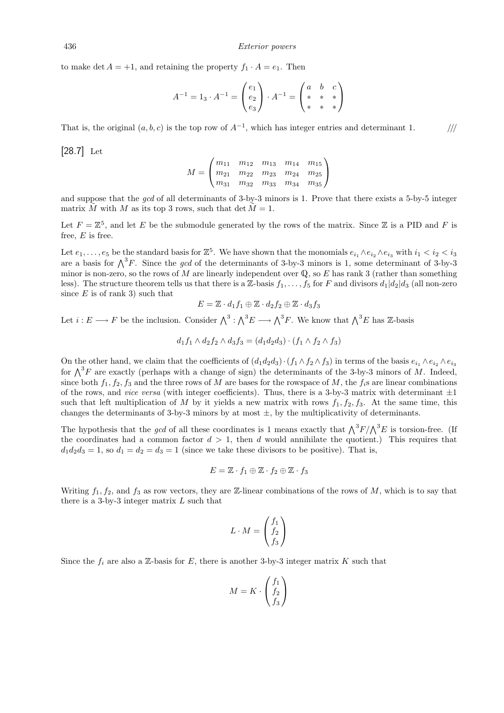to make det  $A = +1$ , and retaining the property  $f_1 \cdot A = e_1$ . Then

$$
A^{-1} = 1_3 \cdot A^{-1} = \begin{pmatrix} e_1 \\ e_2 \\ e_3 \end{pmatrix} \cdot A^{-1} = \begin{pmatrix} a & b & c \\ * & * & * \\ * & * & * \end{pmatrix}
$$

That is, the original  $(a, b, c)$  is the top row of  $A^{-1}$ , which has integer entries and determinant 1.

[28.7] Let

$$
M = \begin{pmatrix} m_{11} & m_{12} & m_{13} & m_{14} & m_{15} \\ m_{21} & m_{22} & m_{23} & m_{24} & m_{25} \\ m_{31} & m_{32} & m_{33} & m_{34} & m_{35} \end{pmatrix}
$$

and suppose that the gcd of all determinants of 3-by-3 minors is 1. Prove that there exists a 5-by-5 integer matrix  $\tilde{M}$  with  $M$  as its top 3 rows, such that det  $\tilde{M} = 1$ .

Let  $F = \mathbb{Z}^5$ , and let E be the submodule generated by the rows of the matrix. Since  $\mathbb Z$  is a PID and F is free,  $E$  is free.

Let  $e_1, \ldots, e_5$  be the standard basis for  $\mathbb{Z}^5$ . We have shown that the monomials  $e_{i_1} \wedge e_{i_2} \wedge e_{i_3}$  with  $i_1 < i_2 < i_3$ are a basis for  $\bigwedge^3 F$ . Since the gcd of the determinants of 3-by-3 minors is 1, some determinant of 3-by-3 minor is non-zero, so the rows of M are linearly independent over  $\mathbb{Q}$ , so E has rank 3 (rather than something less). The structure theorem tells us that there is a Z-basis  $f_1, \ldots, f_5$  for F and divisors  $d_1|d_2|d_3$  (all non-zero since  $E$  is of rank 3) such that

$$
E = \mathbb{Z} \cdot d_1 f_1 \oplus \mathbb{Z} \cdot d_2 f_2 \oplus \mathbb{Z} \cdot d_3 f_3
$$

Let  $i: E \longrightarrow F$  be the inclusion. Consider  $\bigwedge^3 : \bigwedge^3 E \longrightarrow \bigwedge^3 F$ . We know that  $\bigwedge^3 E$  has Z-basis

$$
d_1 f_1 \wedge d_2 f_2 \wedge d_3 f_3 = (d_1 d_2 d_3) \cdot (f_1 \wedge f_2 \wedge f_3)
$$

On the other hand, we claim that the coefficients of  $(d_1d_2d_3)\cdot(f_1\wedge f_2\wedge f_3)$  in terms of the basis  $e_{i_1}\wedge e_{i_2}\wedge e_{i_3}$ for  $\bigwedge^3 F$  are exactly (perhaps with a change of sign) the determinants of the 3-by-3 minors of M. Indeed, since both  $f_1, f_2, f_3$  and the three rows of M are bases for the rowspace of M, the  $f_i$ s are linear combinations of the rows, and *vice versa* (with integer coefficients). Thus, there is a 3-by-3 matrix with determinant  $\pm 1$ such that left multiplication of M by it yields a new matrix with rows  $f_1, f_2, f_3$ . At the same time, this changes the determinants of 3-by-3 minors by at most  $\pm$ , by the multiplicativity of determinants.

The hypothesis that the *gcd* of all these coordinates is 1 means exactly that  $\Lambda^3 F / \Lambda^3 E$  is torsion-free. (If the coordinates had a common factor  $d > 1$ , then d would annihilate the quotient.) This requires that  $d_1 d_2 d_3 = 1$ , so  $d_1 = d_2 = d_3 = 1$  (since we take these divisors to be positive). That is,

$$
E = \mathbb{Z} \cdot f_1 \oplus \mathbb{Z} \cdot f_2 \oplus \mathbb{Z} \cdot f_3
$$

Writing  $f_1, f_2$ , and  $f_3$  as row vectors, they are Z-linear combinations of the rows of M, which is to say that there is a 3-by-3 integer matrix  $L$  such that

$$
L \cdot M = \begin{pmatrix} f_1 \\ f_2 \\ f_3 \end{pmatrix}
$$

Since the  $f_i$  are also a Z-basis for E, there is another 3-by-3 integer matrix K such that

$$
M = K \cdot \begin{pmatrix} f_1 \\ f_2 \\ f_3 \end{pmatrix}
$$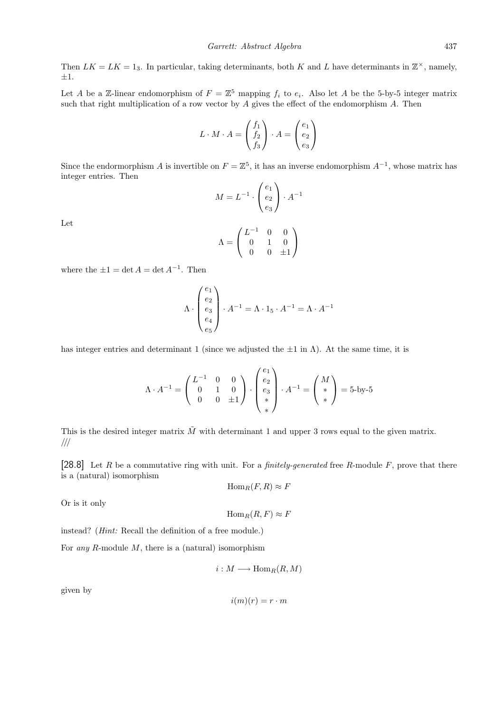Then  $LK = LK = 1_3$ . In particular, taking determinants, both K and L have determinants in  $\mathbb{Z}^{\times}$ , namely,  $\pm 1.$ 

Let A be a Z-linear endomorphism of  $F = \mathbb{Z}^5$  mapping  $f_i$  to  $e_i$ . Also let A be the 5-by-5 integer matrix such that right multiplication of a row vector by  $A$  gives the effect of the endomorphism  $A$ . Then

$$
L \cdot M \cdot A = \begin{pmatrix} f_1 \\ f_2 \\ f_3 \end{pmatrix} \cdot A = \begin{pmatrix} e_1 \\ e_2 \\ e_3 \end{pmatrix}
$$

Since the endormorphism A is invertible on  $F = \mathbb{Z}^5$ , it has an inverse endomorphism  $A^{-1}$ , whose matrix has integer entries. Then

$$
M = L^{-1} \cdot \begin{pmatrix} e_1 \\ e_2 \\ e_3 \end{pmatrix} \cdot A^{-1}
$$

Let

$$
\Lambda = \begin{pmatrix} L^{-1} & 0 & 0 \\ 0 & 1 & 0 \\ 0 & 0 & \pm 1 \end{pmatrix}
$$

where the  $\pm 1 = \det A = \det A^{-1}$ . Then

$$
\Lambda \cdot \begin{pmatrix} e_1 \\ e_2 \\ e_3 \\ e_4 \\ e_5 \end{pmatrix} \cdot A^{-1} = \Lambda \cdot 1_5 \cdot A^{-1} = \Lambda \cdot A^{-1}
$$

has integer entries and determinant 1 (since we adjusted the  $\pm 1$  in  $\Lambda$ ). At the same time, it is

$$
\Lambda \cdot A^{-1} = \begin{pmatrix} L^{-1} & 0 & 0 \\ 0 & 1 & 0 \\ 0 & 0 & \pm 1 \end{pmatrix} \cdot \begin{pmatrix} e_1 \\ e_2 \\ e_3 \\ * \end{pmatrix} \cdot A^{-1} = \begin{pmatrix} M \\ * \\ * \end{pmatrix} = 5 \text{-by-5}
$$

This is the desired integer matrix  $\tilde{M}$  with determinant 1 and upper 3 rows equal to the given matrix. ///

[28.8] Let R be a commutative ring with unit. For a *finitely-generated* free R-module F, prove that there is a (natural) isomorphism

$$
\mathrm{Hom}_R(F,R)\approx F
$$

Or is it only

$$
\mathrm{Hom}_R(R,F)\approx F
$$

instead? (Hint: Recall the definition of a free module.)

For *any R*-module  $M$ , there is a (natural) isomorphism

$$
i:M\longrightarrow \operatorname{Hom}_R(R,M)
$$

given by

$$
i(m)(r) = r \cdot m
$$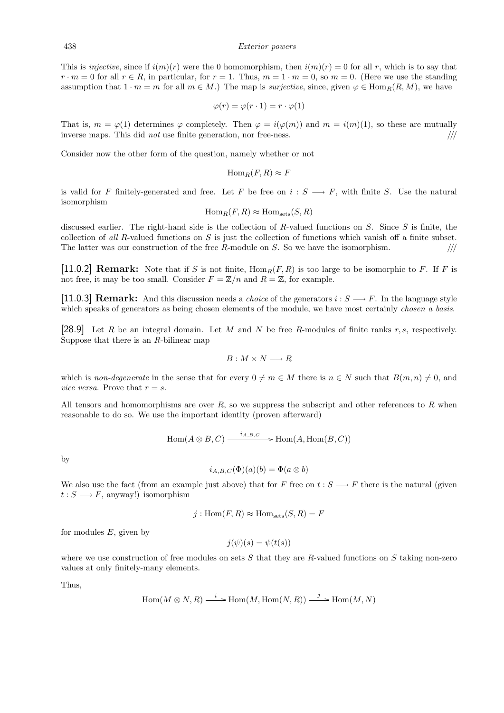This is *injective*, since if  $i(m)(r)$  were the 0 homomorphism, then  $i(m)(r) = 0$  for all r, which is to say that  $r \cdot m = 0$  for all  $r \in R$ , in particular, for  $r = 1$ . Thus,  $m = 1 \cdot m = 0$ , so  $m = 0$ . (Here we use the standing assumption that  $1 \cdot m = m$  for all  $m \in M$ .) The map is *surjective*, since, given  $\varphi \in \text{Hom}_R(R, M)$ , we have

$$
\varphi(r) = \varphi(r \cdot 1) = r \cdot \varphi(1)
$$

That is,  $m = \varphi(1)$  determines  $\varphi$  completely. Then  $\varphi = i(\varphi(m))$  and  $m = i(m)(1)$ , so these are mutually inverse maps. This did *not* use finite generation, nor free-ness.  $\frac{1}{10}$ 

Consider now the other form of the question, namely whether or not

$$
\mathrm{Hom}_R(F,R)\approx F
$$

is valid for F finitely-generated and free. Let F be free on  $i: S \longrightarrow F$ , with finite S. Use the natural isomorphism

$$
\mathrm{Hom}_R(F, R) \approx \mathrm{Hom}_{\mathrm{sets}}(S, R)
$$

discussed earlier. The right-hand side is the collection of R-valued functions on  $S$ . Since  $S$  is finite, the collection of all R-valued functions on S is just the collection of functions which vanish off a finite subset. The latter was our construction of the free R-module on S. So we have the isomorphism.  $\frac{1}{10}$ 

[11.0.2] **Remark:** Note that if S is not finite,  $\text{Hom}_R(F, R)$  is too large to be isomorphic to F. If F is not free, it may be too small. Consider  $F = \mathbb{Z}/n$  and  $R = \mathbb{Z}$ , for example.

[11.0.3] **Remark:** And this discussion needs a *choice* of the generators  $i : S \longrightarrow F$ . In the language style which speaks of generators as being chosen elements of the module, we have most certainly *chosen a basis*.

[28.9] Let R be an integral domain. Let M and N be free R-modules of finite ranks r, s, respectively. Suppose that there is an R-bilinear map

$$
B:M\times N\longrightarrow R
$$

which is non-degenerate in the sense that for every  $0 \neq m \in M$  there is  $n \in N$  such that  $B(m, n) \neq 0$ , and vice versa. Prove that  $r = s$ .

All tensors and homomorphisms are over  $R$ , so we suppress the subscript and other references to  $R$  when reasonable to do so. We use the important identity (proven afterward)

$$
\operatorname{Hom}(A \otimes B,C) \xrightarrow{i_{A,B,C}} \operatorname{Hom}(A,\operatorname{Hom}(B,C))
$$

by

$$
i_{A,B,C}(\Phi)(a)(b) = \Phi(a \otimes b)
$$

We also use the fact (from an example just above) that for F free on  $t : S \longrightarrow F$  there is the natural (given  $t: S \longrightarrow F$ , anyway!) isomorphism

$$
j: \text{Hom}(F, R) \approx \text{Hom}_{\text{sets}}(S, R) = F
$$

for modules  $E$ , given by

$$
j(\psi)(s) = \psi(t(s))
$$

where we use construction of free modules on sets S that they are R-valued functions on S taking non-zero values at only finitely-many elements.

Thus,

$$
\operatorname{Hom}(M \otimes N, R) \xrightarrow{i} \operatorname{Hom}(M, \operatorname{Hom}(N, R)) \xrightarrow{j} \operatorname{Hom}(M, N)
$$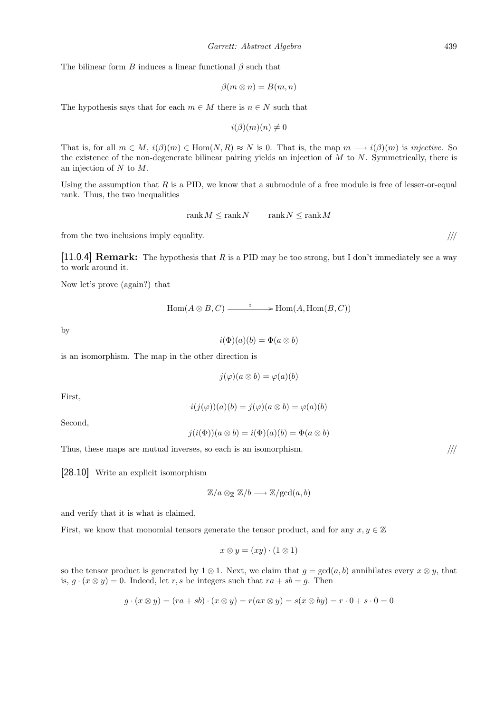The bilinear form B induces a linear functional  $\beta$  such that

$$
\beta(m \otimes n) = B(m, n)
$$

The hypothesis says that for each  $m \in M$  there is  $n \in N$  such that

 $i(\beta)(m)(n) \neq 0$ 

That is, for all  $m \in M$ ,  $i(\beta)(m) \in \text{Hom}(N, R) \approx N$  is 0. That is, the map  $m \longrightarrow i(\beta)(m)$  is *injective*. So the existence of the non-degenerate bilinear pairing yields an injection of  $M$  to  $N$ . Symmetrically, there is an injection of N to M.

Using the assumption that  $R$  is a PID, we know that a submodule of a free module is free of lesser-or-equal rank. Thus, the two inequalities

$$
rank M \le rank N \qquad rank N \le rank M
$$

from the two inclusions imply equality.  $\frac{1}{1}$ 

[11.0.4] **Remark:** The hypothesis that R is a PID may be too strong, but I don't immediately see a way to work around it.

Now let's prove (again?) that

$$
Hom(A \otimes B, C) \xrightarrow{i} Hom(A, Hom(B, C))
$$

by

$$
i(\Phi)(a)(b) = \Phi(a \otimes b)
$$

is an isomorphism. The map in the other direction is

$$
j(\varphi)(a\otimes b) = \varphi(a)(b)
$$

First,

$$
i(j(\varphi))(a)(b) = j(\varphi)(a \otimes b) = \varphi(a)(b)
$$

Second,

$$
j(i(\Phi))(a\otimes b) = i(\Phi)(a)(b) = \Phi(a\otimes b)
$$

Thus, these maps are mutual inverses, so each is an isomorphism.  $\frac{1}{10}$ 

[28.10] Write an explicit isomorphism

$$
\mathbb{Z}/a \otimes_{\mathbb{Z}} \mathbb{Z}/b \longrightarrow \mathbb{Z}/\mathrm{gcd}(a,b)
$$

and verify that it is what is claimed.

First, we know that monomial tensors generate the tensor product, and for any  $x, y \in \mathbb{Z}$ 

$$
x \otimes y = (xy) \cdot (1 \otimes 1)
$$

so the tensor product is generated by 1 ⊗ 1. Next, we claim that  $g = \gcd(a, b)$  annihilates every  $x \otimes y$ , that is,  $g \cdot (x \otimes y) = 0$ . Indeed, let r, s be integers such that  $ra + sb = g$ . Then

$$
g \cdot (x \otimes y) = (ra + sb) \cdot (x \otimes y) = r(ax \otimes y) = s(x \otimes by) = r \cdot 0 + s \cdot 0 = 0
$$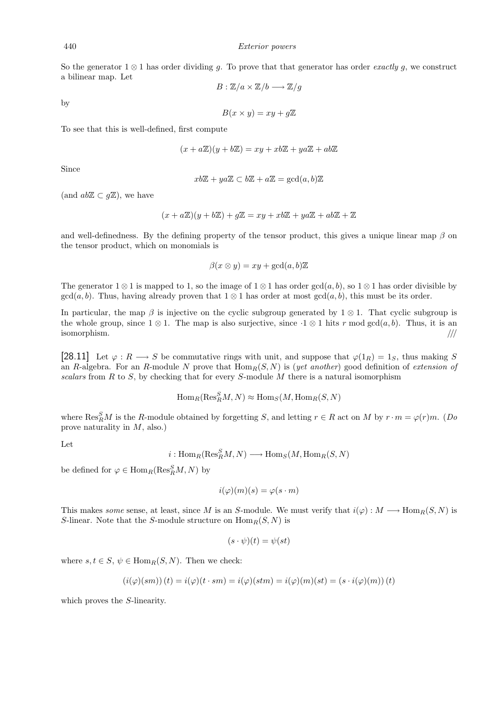So the generator  $1 \otimes 1$  has order dividing q. To prove that that generator has order *exactly q*, we construct a bilinear map. Let

$$
B:\mathbb{Z}/a\times\mathbb{Z}/b\longrightarrow\mathbb{Z}/g
$$

by

 $B(x \times y) = xy + q\mathbb{Z}$ 

To see that this is well-defined, first compute

$$
(x + a\mathbb{Z})(y + b\mathbb{Z}) = xy + xb\mathbb{Z} + ya\mathbb{Z} + ab\mathbb{Z}
$$

Since

$$
xb\mathbb{Z} + ya\mathbb{Z} \subset b\mathbb{Z} + a\mathbb{Z} = \gcd(a, b)\mathbb{Z}
$$

(and  $ab\mathbb{Z} \subset g\mathbb{Z}$ ), we have

$$
(x + a\mathbb{Z})(y + b\mathbb{Z}) + g\mathbb{Z} = xy + xb\mathbb{Z} + ya\mathbb{Z} + ab\mathbb{Z} + \mathbb{Z}
$$

and well-definedness. By the defining property of the tensor product, this gives a unique linear map  $\beta$  on the tensor product, which on monomials is

$$
\beta(x \otimes y) = xy + \gcd(a, b)\mathbb{Z}
$$

The generator  $1 \otimes 1$  is mapped to 1, so the image of  $1 \otimes 1$  has order gcd $(a, b)$ , so  $1 \otimes 1$  has order divisible by  $gcd(a, b)$ . Thus, having already proven that  $1 \otimes 1$  has order at most  $gcd(a, b)$ , this must be its order.

In particular, the map  $\beta$  is injective on the cyclic subgroup generated by 1 ⊗ 1. That cyclic subgroup is the whole group, since  $1 \otimes 1$ . The map is also surjective, since  $\cdot 1 \otimes 1$  hits r mod gcd(a, b). Thus, it is an  $\blacksquare$ isomorphism. ////

[28.11] Let  $\varphi: R \longrightarrow S$  be commutative rings with unit, and suppose that  $\varphi(1_R) = 1_S$ , thus making S an R-algebra. For an R-module N prove that  $\text{Hom}_R(S, N)$  is (yet another) good definition of extension of scalars from  $R$  to  $S$ , by checking that for every  $S$ -module  $M$  there is a natural isomorphism

$$
\operatorname{Hom}_R(\operatorname{Res}^S_R M, N) \approx \operatorname{Hom}_S(M, \operatorname{Hom}_R(S, N)
$$

where  $\text{Res}_{R}^{S}M$  is the R-module obtained by forgetting S, and letting  $r \in R$  act on M by  $r \cdot m = \varphi(r)m$ . (Do prove naturality in M, also.)

Let

 $i: \mathrm{Hom}_R(\mathrm{Res}_R^S M, N) \longrightarrow \mathrm{Hom}_S(M, \mathrm{Hom}_R(S, N))$ 

be defined for  $\varphi \in \text{Hom}_R(\text{Res}_R^S M, N)$  by

$$
i(\varphi)(m)(s) = \varphi(s \cdot m)
$$

This makes some sense, at least, since M is an S-module. We must verify that  $i(\varphi): M \longrightarrow \text{Hom}_R(S, N)$  is S-linear. Note that the S-module structure on  $\text{Hom}_R(S, N)$  is

$$
(s \cdot \psi)(t) = \psi(st)
$$

where  $s, t \in S, \psi \in \text{Hom}_{B}(S, N)$ . Then we check:

$$
(i(\varphi)(sm))(t) = i(\varphi)(t \cdot sm) = i(\varphi)(stm) = i(\varphi)(m)(st) = (s \cdot i(\varphi)(m))(t)
$$

which proves the S-linearity.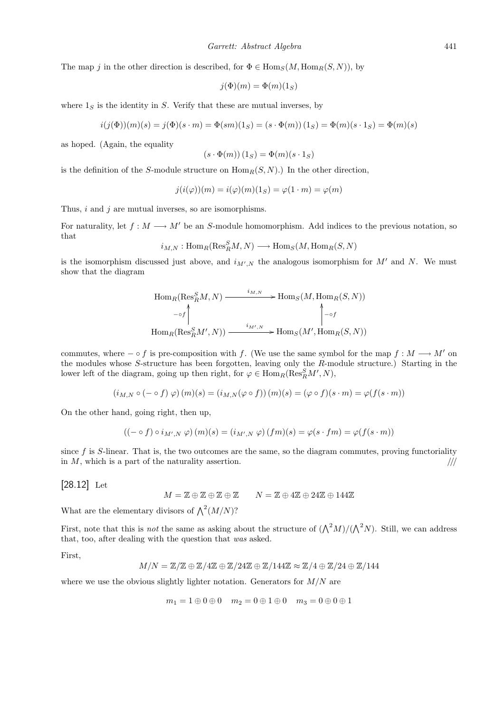The map j in the other direction is described, for  $\Phi \in \text{Hom}_{S}(M, \text{Hom}_{R}(S, N)),$  by

$$
j(\Phi)(m) = \Phi(m)(1_S)
$$

where  $1_S$  is the identity in S. Verify that these are mutual inverses, by

$$
i(j(\Phi))(m)(s) = j(\Phi)(s \cdot m) = \Phi(sm)(1_S) = (s \cdot \Phi(m))(1_S) = \Phi(m)(s \cdot 1_S) = \Phi(m)(s)
$$

as hoped. (Again, the equality

$$
(s \cdot \Phi(m))(1_S) = \Phi(m)(s \cdot 1_S)
$$

is the definition of the S-module structure on  $\text{Hom}_R(S, N)$ .) In the other direction,

$$
j(i(\varphi))(m) = i(\varphi)(m)(1_S) = \varphi(1 \cdot m) = \varphi(m)
$$

Thus,  $i$  and  $j$  are mutual inverses, so are isomorphisms.

For naturality, let  $f : M \longrightarrow M'$  be an S-module homomorphism. Add indices to the previous notation, so that

 $i_{M,N}: \mathrm{Hom}_R(\mathrm{Res}_R^S M, N) \longrightarrow \mathrm{Hom}_S(M, \mathrm{Hom}_R(S, N))$ 

is the isomorphism discussed just above, and  $i_{M',N}$  the analogous isomorphism for M' and N. We must show that the diagram

$$
\text{Hom}_{R}(\text{Res}_{R}^{S}M, N) \xrightarrow{\qquad i_{M,N}} \text{Hom}_{S}(M, \text{Hom}_{R}(S, N))
$$
  
\n
$$
\rightarrow \text{Hom}_{R}(\text{Res}_{R}^{S}M', N)) \xrightarrow{\qquad i_{M',N}} \text{Hom}_{S}(M', \text{Hom}_{R}(S, N))
$$

commutes, where  $- \circ f$  is pre-composition with f. (We use the same symbol for the map  $f : M \longrightarrow M'$  on the modules whose S-structure has been forgotten, leaving only the R-module structure.) Starting in the lower left of the diagram, going up then right, for  $\varphi \in \text{Hom}_R(\text{Res}_R^S M', N)$ ,

$$
(i_{M,N} \circ (- \circ f) \circlearrowleft)(m)(s) = (i_{M,N}(\varphi \circ f))(m)(s) = (\varphi \circ f)(s \cdot m) = \varphi(f(s \cdot m))
$$

On the other hand, going right, then up,

$$
((-\circ f)\circ i_{M',N}\varphi)(m)(s)=(i_{M',N}\varphi)(fm)(s)=\varphi(s\cdot fm)=\varphi(f(s\cdot m))
$$

since  $f$  is  $S$ -linear. That is, the two outcomes are the same, so the diagram commutes, proving functoriality in  $M$ , which is a part of the naturality assertion.  $/$ ///

[28.12] Let

 $M = \mathbb{Z} \oplus \mathbb{Z} \oplus \mathbb{Z} \oplus \mathbb{Z}$   $N = \mathbb{Z} \oplus 4\mathbb{Z} \oplus 24\mathbb{Z} \oplus 144\mathbb{Z}$ 

What are the elementary divisors of  $\bigwedge^2 (M/N)$ ?

First, note that this is *not* the same as asking about the structure of  $({\Lambda}^2 M)/({\Lambda}^2 N)$ . Still, we can address that, too, after dealing with the question that was asked.

First,

$$
M/N = \mathbb{Z}/\mathbb{Z} \oplus \mathbb{Z}/4\mathbb{Z} \oplus \mathbb{Z}/24\mathbb{Z} \oplus \mathbb{Z}/144\mathbb{Z} \approx \mathbb{Z}/4 \oplus \mathbb{Z}/24 \oplus \mathbb{Z}/144
$$

where we use the obvious slightly lighter notation. Generators for  $M/N$  are

$$
m_1 = 1 \oplus 0 \oplus 0 \quad m_2 = 0 \oplus 1 \oplus 0 \quad m_3 = 0 \oplus 0 \oplus 1
$$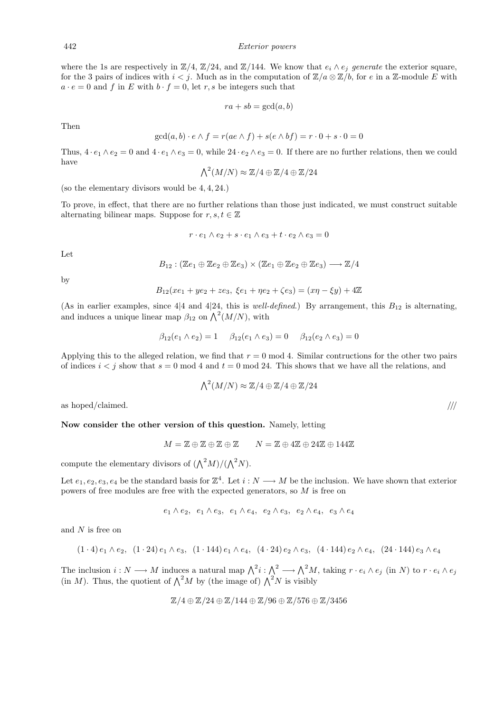where the 1s are respectively in  $\mathbb{Z}/4$ ,  $\mathbb{Z}/24$ , and  $\mathbb{Z}/144$ . We know that  $e_i \wedge e_j$  generate the exterior square, for the 3 pairs of indices with  $i < j$ . Much as in the computation of  $\mathbb{Z}/a \otimes \mathbb{Z}/b$ , for e in a Z-module E with  $a \cdot e = 0$  and f in E with  $b \cdot f = 0$ , let r, s be integers such that

$$
ra + sb = \gcd(a, b)
$$

Then

$$
\gcd(a, b) \cdot e \wedge f = r(ae \wedge f) + s(e \wedge bf) = r \cdot 0 + s \cdot 0 = 0
$$

Thus,  $4 \cdot e_1 \wedge e_2 = 0$  and  $4 \cdot e_1 \wedge e_3 = 0$ , while  $24 \cdot e_2 \wedge e_3 = 0$ . If there are no further relations, then we could have

$$
\bigwedge^2 (M/N) \approx \mathbb{Z}/4 \oplus \mathbb{Z}/4 \oplus \mathbb{Z}/24
$$

(so the elementary divisors would be 4, 4, 24.)

To prove, in effect, that there are no further relations than those just indicated, we must construct suitable alternating bilinear maps. Suppose for  $r, s, t \in \mathbb{Z}$ 

$$
r \cdot e_1 \wedge e_2 + s \cdot e_1 \wedge e_3 + t \cdot e_2 \wedge e_3 = 0
$$

Let

$$
B_{12} : (\mathbb{Z}e_1 \oplus \mathbb{Z}e_2 \oplus \mathbb{Z}e_3) \times (\mathbb{Z}e_1 \oplus \mathbb{Z}e_2 \oplus \mathbb{Z}e_3) \longrightarrow \mathbb{Z}/4
$$

by

$$
B_{12}(xe_1 + ye_2 + ze_3, \xi e_1 + \eta e_2 + \zeta e_3) = (x\eta - \xi y) + 4\mathbb{Z}
$$

(As in earlier examples, since 4|4 and 4|24, this is *well-defined.*) By arrangement, this  $B_{12}$  is alternating, and induces a unique linear map  $\beta_{12}$  on  $\bigwedge^2 (M/N)$ , with

$$
\beta_{12}(e_1 \wedge e_2) = 1 \qquad \beta_{12}(e_1 \wedge e_3) = 0 \qquad \beta_{12}(e_2 \wedge e_3) = 0
$$

Applying this to the alleged relation, we find that  $r = 0 \mod 4$ . Similar contructions for the other two pairs of indices  $i < j$  show that  $s = 0 \text{ mod } 4$  and  $t = 0 \text{ mod } 24$ . This shows that we have all the relations, and

$$
\bigwedge^2 (M/N) \approx \mathbb{Z}/4 \oplus \mathbb{Z}/4 \oplus \mathbb{Z}/24
$$

as hoped/claimed.  $/$ ///

Now consider the other version of this question. Namely, letting

$$
M = \mathbb{Z} \oplus \mathbb{Z} \oplus \mathbb{Z} \oplus \mathbb{Z} \qquad N = \mathbb{Z} \oplus 4\mathbb{Z} \oplus 24\mathbb{Z} \oplus 144\mathbb{Z}
$$

compute the elementary divisors of  $({\bigwedge}^2 M)/({\bigwedge}^2 N)$ .

Let  $e_1, e_2, e_3, e_4$  be the standard basis for  $\mathbb{Z}^4$ . Let  $i : N \longrightarrow M$  be the inclusion. We have shown that exterior powers of free modules are free with the expected generators, so M is free on

$$
e_1 \wedge e_2, e_1 \wedge e_3, e_1 \wedge e_4, e_2 \wedge e_3, e_2 \wedge e_4, e_3 \wedge e_4
$$

and  $N$  is free on

$$
(1 \cdot 4) e_1 \wedge e_2
$$
,  $(1 \cdot 24) e_1 \wedge e_3$ ,  $(1 \cdot 144) e_1 \wedge e_4$ ,  $(4 \cdot 24) e_2 \wedge e_3$ ,  $(4 \cdot 144) e_2 \wedge e_4$ ,  $(24 \cdot 144) e_3 \wedge e_4$ 

The inclusion  $i: N \longrightarrow M$  induces a natural map  $\bigwedge^2 i: \bigwedge^2 \longrightarrow \bigwedge^2 M$ , taking  $r \cdot e_i \wedge e_j$  (in N) to  $r \cdot e_i \wedge e_j$ (in M). Thus, the quotient of  $\Lambda^2 M$  by (the image of)  $\Lambda^2 N$  is visibly

$$
\mathbb{Z}/4 \oplus \mathbb{Z}/24 \oplus \mathbb{Z}/144 \oplus \mathbb{Z}/96 \oplus \mathbb{Z}/576 \oplus \mathbb{Z}/3456
$$